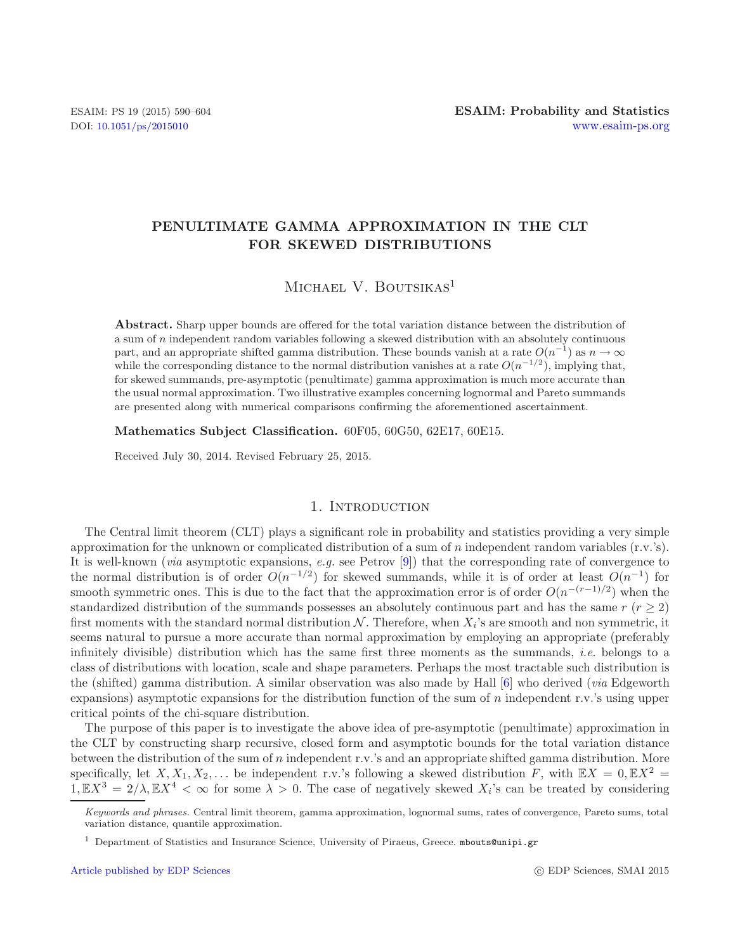# **PENULTIMATE GAMMA APPROXIMATION IN THE CLT FOR SKEWED DISTRIBUTIONS**

MICHAEL V. BOUTSIKAS<sup>1</sup>

**Abstract.** Sharp upper bounds are offered for the total variation distance between the distribution of a sum of n independent random variables following a skewed distribution with an absolutely continuous part, and an appropriate shifted gamma distribution. These bounds vanish at a rate  $O(n^{-1})$  as  $n \to \infty$ while the corresponding distance to the normal distribution vanishes at a rate  $O(n^{-1/2})$ , implying that, for skewed summands, pre-asymptotic (penultimate) gamma approximation is much more accurate than the usual normal approximation. Two illustrative examples concerning lognormal and Pareto summands are presented along with numerical comparisons confirming the aforementioned ascertainment.

**Mathematics Subject Classification.** 60F05, 60G50, 62E17, 60E15.

Received July 30, 2014. Revised February 25, 2015.

## 1. INTRODUCTION

The Central limit theorem (CLT) plays a significant role in probability and statistics providing a very simple approximation for the unknown or complicated distribution of a sum of n independent random variables  $(r.v.'s)$ . It is well-known (*via* asymptotic expansions, *e.g.* see Petrov [\[9](#page-14-0)]) that the corresponding rate of convergence to the normal distribution is of order  $O(n^{-1/2})$  for skewed summands, while it is of order at least  $O(n^{-1})$  for smooth symmetric ones. This is due to the fact that the approximation error is of order  $O(n^{-(r-1)/2})$  when the standardized distribution of the summands possesses an absolutely continuous part and has the same  $r (r \geq 2)$ first moments with the standard normal distribution N. Therefore, when  $X_i$ 's are smooth and non symmetric, it seems natural to pursue a more accurate than normal approximation by employing an appropriate (preferably infinitely divisible) distribution which has the same first three moments as the summands, *i.e*. belongs to a class of distributions with location, scale and shape parameters. Perhaps the most tractable such distribution is the (shifted) gamma distribution. A similar observation was also made by Hall [\[6](#page-14-1)] who derived (*via* Edgeworth expansions) asymptotic expansions for the distribution function of the sum of n independent r.v.'s using upper critical points of the chi-square distribution.

The purpose of this paper is to investigate the above idea of pre-asymptotic (penultimate) approximation in the CLT by constructing sharp recursive, closed form and asymptotic bounds for the total variation distance between the distribution of the sum of n independent r.v.'s and an appropriate shifted gamma distribution. More specifically, let  $X, X_1, X_2,...$  be independent r.v.'s following a skewed distribution F, with  $\mathbb{E}X = 0, \mathbb{E}X^2 = 0$  $1, \mathbb{E}X^3 = 2/\lambda, \mathbb{E}X^4 < \infty$  for some  $\lambda > 0$ . The case of negatively skewed  $X_i$ 's can be treated by considering

*Keywords and phrases.* Central limit theorem, gamma approximation, lognormal sums, rates of convergence, Pareto sums, total variation distance, quantile approximation.

<sup>&</sup>lt;sup>1</sup> Department of Statistics and Insurance Science, University of Piraeus, Greece. mbouts@unipi.gr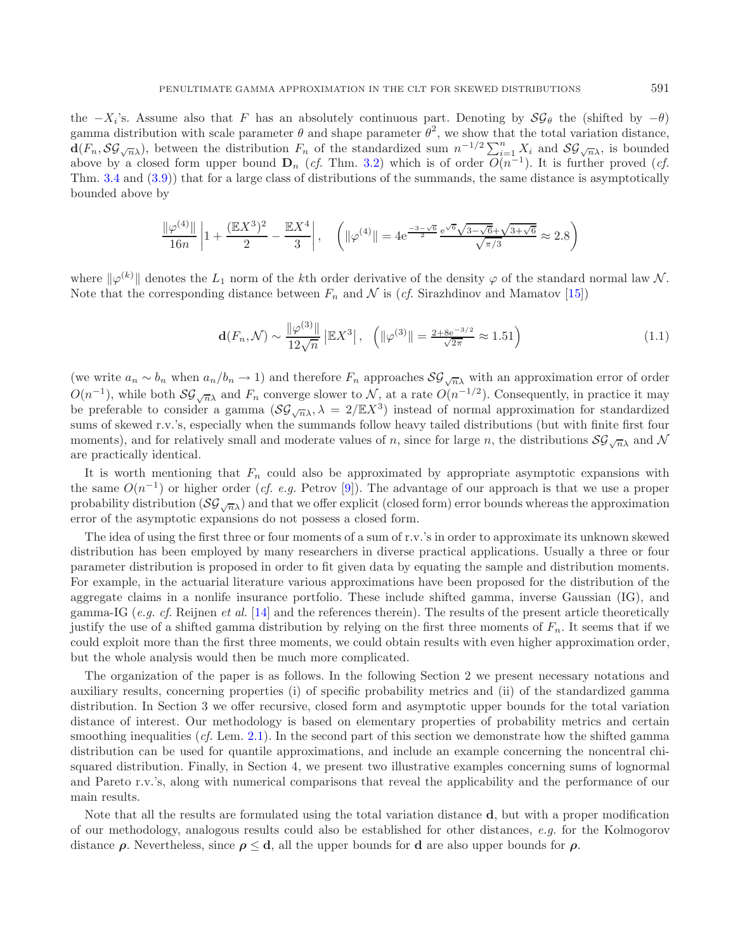the  $-X_i$ 's. Assume also that F has an absolutely continuous part. Denoting by  $\mathcal{SG}_\theta$  the (shifted by  $-\theta$ ) gamma distribution with scale parameter  $\theta$  and shape parameter  $\theta^2$ , we show that the total variation distance.  $\mathbf{d}(F_n, \mathcal{SG}_{\sqrt{n}\lambda})$ , between the distribution  $F_n$  of the standardized sum  $n^{-1/2} \sum_{i=1}^n X_i$  and  $\mathcal{SG}_{\sqrt{n}\lambda}$ , is bounded above by a closed form upper bound  $D_n$  (*cf.* Thm. [3.2\)](#page-4-0) which is of order  $O(n^{-1})$ . It is further proved (*cf.* Thm. [3.4](#page-6-0) and [\(3.9\)](#page-6-1)) that for a large class of distributions of the summands, the same distance is asymptotically bounded above by

$$
\frac{\|\varphi^{(4)}\|}{16n} \left| 1 + \frac{(\mathbb{E}X^3)^2}{2} - \frac{\mathbb{E}X^4}{3} \right|, \quad \left( \|\varphi^{(4)}\| = 4 e^{\frac{-3 - \sqrt{6}}{2}} \frac{e^{\sqrt{6}} \sqrt{3 - \sqrt{6}} + \sqrt{3 + \sqrt{6}}}{\sqrt{\pi/3}} \approx 2.8 \right)
$$

where  $\|\varphi^{(k)}\|$  denotes the  $L_1$  norm of the kth order derivative of the density  $\varphi$  of the standard normal law N. Note that the corresponding distance between  $F_n$  and  $\mathcal N$  is (*cf.* Sirazhdinov and Mamatov [\[15](#page-14-2)])

<span id="page-1-0"></span>
$$
\mathbf{d}(F_n, \mathcal{N}) \sim \frac{\|\varphi^{(3)}\|}{12\sqrt{n}} \|\mathbb{E}X^3\|, \quad \left(\|\varphi^{(3)}\| = \frac{2 + 8e^{-3/2}}{\sqrt{2\pi}} \approx 1.51\right) \tag{1.1}
$$

(we write  $a_n \sim b_n$  when  $a_n/b_n \to 1$ ) and therefore  $F_n$  approaches  $\mathcal{SG}_{\sqrt{n}\lambda}$  with an approximation error of order  $O(n^{-1})$ , while both  $\mathcal{SG}_{\sqrt{n}}$  and  $F_n$  converge slower to N, at a rate  $O(n^{-1/2})$ . Consequently, in practice it may be preferable to consider a gamma  $(\mathcal{SG}_{\sqrt{n}\lambda}, \lambda = 2/\mathbb{E}X^3)$  instead of normal approximation for standardized sums of skewed r.v.'s, especially when the summands follow heavy tailed distributions (but with finite first four moments), and for relatively small and moderate values of n, since for large n, the distributions  $\mathcal{SG}_{\sqrt{n}}$  and N are practically identical.

It is worth mentioning that  $F_n$  could also be approximated by appropriate asymptotic expansions with the same O(n−<sup>1</sup>) or higher order (*cf. e.g.* Petrov [\[9](#page-14-0)]). The advantage of our approach is that we use a proper probability distribution  $(\mathcal{SG}_{\sqrt{n}})$  and that we offer explicit (closed form) error bounds whereas the approximation error of the asymptotic expansions do not possess a closed form.

The idea of using the first three or four moments of a sum of r.v.'s in order to approximate its unknown skewed distribution has been employed by many researchers in diverse practical applications. Usually a three or four parameter distribution is proposed in order to fit given data by equating the sample and distribution moments. For example, in the actuarial literature various approximations have been proposed for the distribution of the aggregate claims in a nonlife insurance portfolio. These include shifted gamma, inverse Gaussian (IG), and gamma-IG (*e.g. cf.* Reijnen *et al.* [\[14\]](#page-14-3) and the references therein). The results of the present article theoretically justify the use of a shifted gamma distribution by relying on the first three moments of  $F_n$ . It seems that if we could exploit more than the first three moments, we could obtain results with even higher approximation order, but the whole analysis would then be much more complicated.

The organization of the paper is as follows. In the following Section 2 we present necessary notations and auxiliary results, concerning properties (i) of specific probability metrics and (ii) of the standardized gamma distribution. In Section 3 we offer recursive, closed form and asymptotic upper bounds for the total variation distance of interest. Our methodology is based on elementary properties of probability metrics and certain smoothing inequalities (*cf.* Lem. [2.1\)](#page-2-0). In the second part of this section we demonstrate how the shifted gamma distribution can be used for quantile approximations, and include an example concerning the noncentral chisquared distribution. Finally, in Section 4, we present two illustrative examples concerning sums of lognormal and Pareto r.v.'s, along with numerical comparisons that reveal the applicability and the performance of our main results.

Note that all the results are formulated using the total variation distance **d**, but with a proper modification of our methodology, analogous results could also be established for other distances, *e.g.* for the Kolmogorov distance  $\rho$ . Nevertheless, since  $\rho \leq d$ , all the upper bounds for **d** are also upper bounds for  $\rho$ .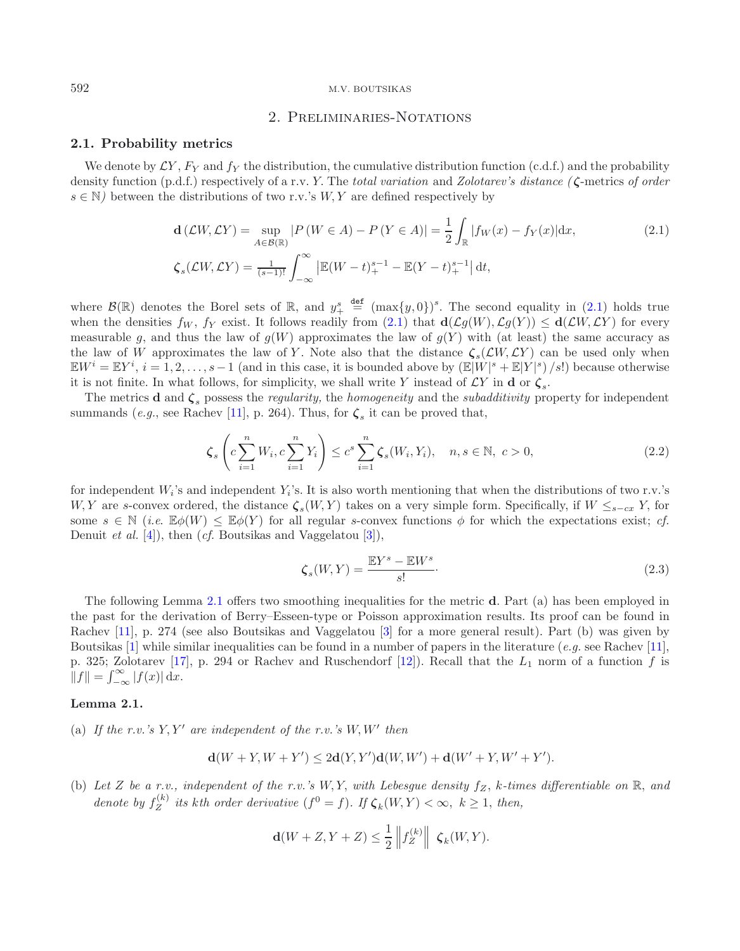# <span id="page-2-3"></span>2. Preliminaries-Notations

### **2.1. Probability metrics**

<span id="page-2-1"></span>We denote by  $\mathcal{L}Y$ ,  $F_Y$  and  $f_Y$  the distribution, the cumulative distribution function (c.d.f.) and the probability density function (p.d.f.) respectively of a r.v. Y. The *total variation* and *Zolotarev's distance ( ζ*-metrics *of order*  $s \in \mathbb{N}$ ) between the distributions of two r.v.'s W, Y are defined respectively by

$$
\mathbf{d}\left(\mathcal{L}W,\mathcal{L}Y\right) = \sup_{A \in \mathcal{B}(\mathbb{R})} \left|P\left(W \in A\right) - P\left(Y \in A\right)\right| = \frac{1}{2} \int_{\mathbb{R}} |f_W(x) - f_Y(x)| dx, \tag{2.1}
$$
\n
$$
\zeta_s(\mathcal{L}W,\mathcal{L}Y) = \frac{1}{(s-1)!} \int_{-\infty}^{\infty} \left| \mathbb{E}(W - t)_+^{s-1} - \mathbb{E}(Y - t)_+^{s-1} \right| dt,
$$

where  $\mathcal{B}(\mathbb{R})$  denotes the Borel sets of  $\mathbb{R}$ , and  $y_+^s \stackrel{\text{def}}{=} (\max\{y, 0\})^s$ . The second equality in [\(2.1\)](#page-2-1) holds true when the densities  $f_W$ ,  $f_Y$  exist. It follows readily from [\(2.1\)](#page-2-1) that  $\mathbf{d}(\mathcal{L}g(W), \mathcal{L}g(Y)) \leq \mathbf{d}(\mathcal{L}W, \mathcal{L}Y)$  for every measurable g, and thus the law of  $g(W)$  approximates the law of  $g(Y)$  with (at least) the same accuracy as the law of W approximates the law of Y. Note also that the distance  $\zeta_s(\mathcal{L}W,\mathcal{L}Y)$  can be used only when  $\mathbb{E}W^i = \mathbb{E}Y^i$ ,  $i = 1, 2, \ldots, s-1$  (and in this case, it is bounded above by  $(\mathbb{E}|W|^s + \mathbb{E}|Y|^s)/s!$ ) because otherwise it is not finite. In what follows, for simplicity, we shall write Y instead of  $\mathcal{L}Y$  in **d** or  $\zeta$ .

The metrics **d** and *ζ*<sup>s</sup> possess the *regularity,* the *homogeneity* and the *subadditivity* property for independent summands (*e.g.*, see Rachev [\[11](#page-14-4)], p. 264). Thus, for  $\zeta_s$  it can be proved that,

<span id="page-2-2"></span>
$$
\zeta_s \left( c \sum_{i=1}^n W_i, c \sum_{i=1}^n Y_i \right) \le c^s \sum_{i=1}^n \zeta_s(W_i, Y_i), \quad n, s \in \mathbb{N}, \ c > 0,
$$
\n(2.2)

for independent  $W_i$ 's and independent  $Y_i$ 's. It is also worth mentioning that when the distributions of two r.v.'s W, Y are s-convex ordered, the distance  $\zeta_s(W, Y)$  takes on a very simple form. Specifically, if  $W \leq_{s-cx} Y$ , for some  $s \in \mathbb{N}$  (*i.e.*  $\mathbb{E}\phi(W) \leq \mathbb{E}\phi(Y)$  for all regular s-convex functions  $\phi$  for which the expectations exist; *cf.* Denuit *et al.* [\[4\]](#page-14-5)), then (*cf.* Boutsikas and Vaggelatou [\[3\]](#page-14-6)),

$$
\zeta_s(W,Y) = \frac{\mathbb{E}Y^s - \mathbb{E}W^s}{s!}.
$$
\n(2.3)

The following Lemma [2.1](#page-2-0) offers two smoothing inequalities for the metric **d**. Part (a) has been employed in the past for the derivation of Berry–Esseen-type or Poisson approximation results. Its proof can be found in Rachev [\[11](#page-14-4)], p. 274 (see also Boutsikas and Vaggelatou [\[3](#page-14-6)] for a more general result). Part (b) was given by Boutsikas [\[1](#page-14-7)] while similar inequalities can be found in a number of papers in the literature (*e.g.* see Rachev [\[11](#page-14-4)], p. 325; Zolotarev [\[17\]](#page-14-8), p. 294 or Rachev and Ruschendorf [\[12\]](#page-14-9)). Recall that the  $L_1$  norm of a function f is  $||f|| = \int_{-\infty}^{\infty} |f(x)| dx.$ 

### <span id="page-2-0"></span>**Lemma 2.1.**

(a) If the r.v.'s  $Y, Y'$  are independent of the r.v.'s  $W, W'$  then

$$
\mathbf{d}(W + Y, W + Y') \le 2\mathbf{d}(Y, Y')\mathbf{d}(W, W') + \mathbf{d}(W' + Y, W' + Y').
$$

(b) Let  $Z$  be a r.v., independent of the r.v.'s  $W, Y$ , with Lebesgue density  $f_Z$ ,  $k$ -times differentiable on  $\mathbb{R}$ , and *denote by*  $f_Z^{(k)}$  *its kth order derivative*  $(f^0 = f)$ *. If*  $\zeta_k(W, Y) < \infty$ ,  $k \geq 1$ *, then,* 

$$
\mathbf{d}(W+Z,Y+Z) \leq \frac{1}{2} \left\| f_Z^{(k)} \right\| \left| \mathcal{L}_k(W,Y) \right|
$$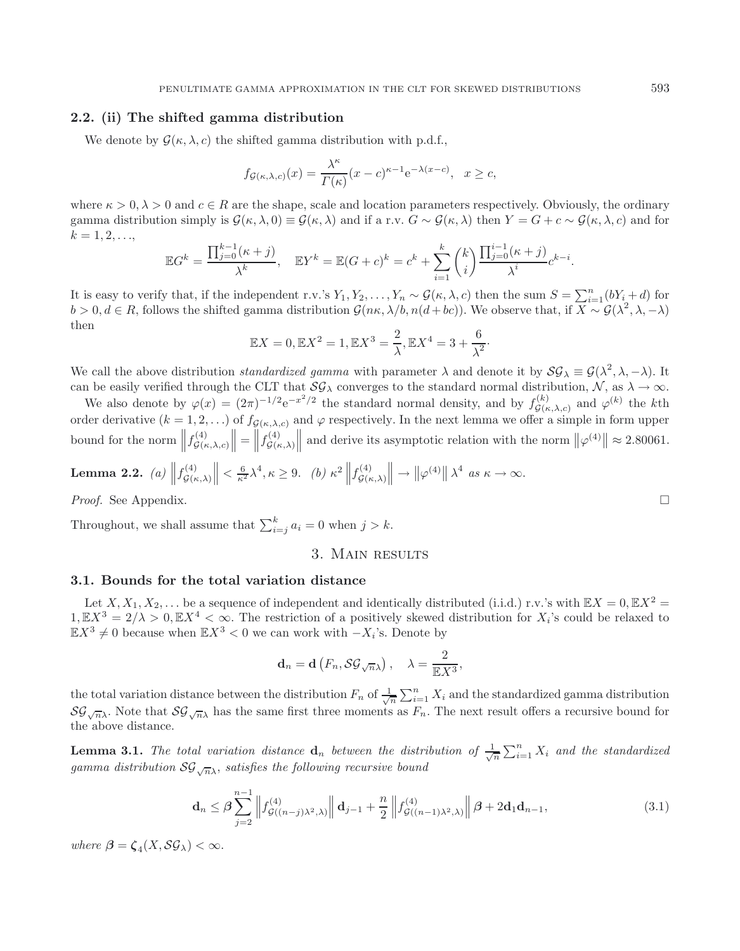# **2.2. (ii) The shifted gamma distribution**

We denote by  $\mathcal{G}(\kappa, \lambda, c)$  the shifted gamma distribution with p.d.f.,

$$
f_{\mathcal{G}(\kappa,\lambda,c)}(x) = \frac{\lambda^{\kappa}}{\Gamma(\kappa)}(x-c)^{\kappa-1}e^{-\lambda(x-c)}, \quad x \ge c,
$$

where  $\kappa > 0, \lambda > 0$  and  $c \in R$  are the shape, scale and location parameters respectively. Obviously, the ordinary gamma distribution simply is  $\mathcal{G}(\kappa, \lambda, 0) \equiv \mathcal{G}(\kappa, \lambda)$  and if a r.v.  $G \sim \mathcal{G}(\kappa, \lambda)$  then  $Y = G + c \sim \mathcal{G}(\kappa, \lambda, c)$  and for  $k = 1, 2, ...,$ 

$$
\mathbb{E}G^{k} = \frac{\prod_{j=0}^{k-1}(\kappa + j)}{\lambda^{k}}, \quad \mathbb{E}Y^{k} = \mathbb{E}(G + c)^{k} = c^{k} + \sum_{i=1}^{k} {k \choose i} \frac{\prod_{j=0}^{i-1}(\kappa + j)}{\lambda^{i}} c^{k-i}.
$$

It is easy to verify that, if the independent r.v.'s  $Y_1, Y_2, \ldots, Y_n \sim \mathcal{G}(\kappa, \lambda, c)$  then the sum  $S = \sum_{i=1}^n (bY_i + d)$  for  $b > 0, d \in R$ , follows the shifted gamma distribution  $\mathcal{G}(n\kappa, \lambda/b, n(d+bc))$ . We observe that, if  $\overline{X \sim \mathcal{G}(\lambda^2, \lambda, -\lambda)}$ then

$$
\mathbb{E}X = 0, \mathbb{E}X^2 = 1, \mathbb{E}X^3 = \frac{2}{\lambda}, \mathbb{E}X^4 = 3 + \frac{6}{\lambda^2}.
$$

We call the above distribution *standardized gamma* with parameter  $\lambda$  and denote it by  $\mathcal{SG}_{\lambda} \equiv \mathcal{G}(\lambda^2, \lambda, -\lambda)$ . It can be easily verified through the CLT that  $\mathcal{SG}_{\lambda}$  converges to the standard normal distribution,  $\mathcal{N}$ , as  $\lambda \to \infty$ .

We also denote by  $\varphi(x) = (2\pi)^{-1/2} e^{-x^2/2}$  the standard normal density, and by  $f_{\mathcal{G}(\kappa,\lambda,c)}^{(k)}$  and  $\varphi^{(k)}$  the kth order derivative  $(k = 1, 2, ...)$  of  $f_{\mathcal{G}(\kappa,\lambda,c)}$  and  $\varphi$  respectively. In the next lemma we offer a simple in form upper bound for the norm  $|| f_{\mathcal{G}(\kappa,\lambda,c)}^{(4)}||$  $\| = \| f_{\mathcal{G}(\kappa,\lambda)}^{(4)} \|$ || and derive its asymptotic relation with the norm  $\|\varphi^{(4)}\| \approx 2.80061$ .

<span id="page-3-1"></span>**Lemma 2.2.** (a) 
$$
\left\|f_{\mathcal{G}(\kappa,\lambda)}^{(4)}\right\| \leq \frac{6}{\kappa^2} \lambda^4, \kappa \geq 9.
$$
 (b)  $\kappa^2 \left\|f_{\mathcal{G}(\kappa,\lambda)}^{(4)}\right\| \to \left\|\varphi^{(4)}\right\| \lambda^4$  as  $\kappa \to \infty$ .

*Proof.* See Appendix. □

Throughout, we shall assume that  $\sum_{i=j}^{k} a_i = 0$  when  $j > k$ .

# <span id="page-3-0"></span>3. Main results

# **3.1. Bounds for the total variation distance**

Let  $X, X_1, X_2, \ldots$  be a sequence of independent and identically distributed (i.i.d.) r.v.'s with  $\mathbb{E}X = 0, \mathbb{E}X^2 =$  $1, \mathbb{E}X^3 = 2/\lambda > 0, \mathbb{E}X^4 < \infty$ . The restriction of a positively skewed distribution for  $X_i$ 's could be relaxed to  $\mathbb{E}X^3 \neq 0$  because when  $\mathbb{E}X^3 < 0$  we can work with  $-X_i$ 's. Denote by

$$
\mathbf{d}_n = \mathbf{d} \left( F_n, \mathcal{SG}_{\sqrt{n}\lambda} \right), \quad \lambda = \frac{2}{\mathbb{E} X^3},
$$

the total variation distance between the distribution  $F_n$  of  $\frac{1}{\sqrt{n}} \sum_{i=1}^n X_i$  and the standardized gamma distribution  $\mathcal{SG}_{\sqrt{n}\lambda}$ . Note that  $\mathcal{SG}_{\sqrt{n}\lambda}$  has the same first three moments as  $F_n$ . The next result offers a recursive bound for the above distance.

<span id="page-3-2"></span>**Lemma 3.1.** *The total variation distance*  $\mathbf{d}_n$  *between the distribution of*  $\frac{1}{\sqrt{n}} \sum_{i=1}^n X_i$  *and the standardized gamma distribution*  $SG_{\sqrt{n}\lambda}$ *, satisfies the following recursive bound* 

$$
\mathbf{d}_n \leq \beta \sum_{j=2}^{n-1} \left\| f_{\mathcal{G}((n-j)\lambda^2,\lambda)}^{(4)} \right\| \mathbf{d}_{j-1} + \frac{n}{2} \left\| f_{\mathcal{G}((n-1)\lambda^2,\lambda)}^{(4)} \right\| \beta + 2\mathbf{d}_1 \mathbf{d}_{n-1},\tag{3.1}
$$

*where*  $\beta = \zeta_A(X, \mathcal{SG}_\lambda) < \infty$ .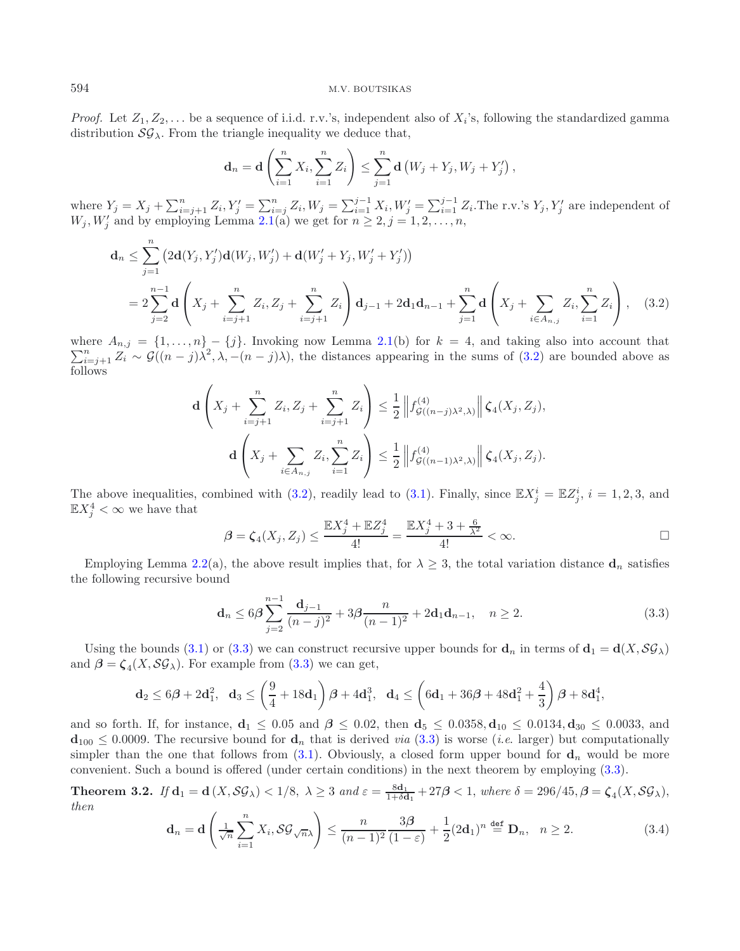*Proof.* Let  $Z_1, Z_2, \ldots$  be a sequence of i.i.d. r.v.'s, independent also of  $X_i$ 's, following the standardized gamma distribution  $\mathcal{SG}_{\lambda}$ . From the triangle inequality we deduce that,

$$
\mathbf{d}_n = \mathbf{d} \left( \sum_{i=1}^n X_i, \sum_{i=1}^n Z_i \right) \leq \sum_{j=1}^n \mathbf{d} \left( W_j + Y_j, W_j + Y_j' \right),
$$

<span id="page-4-1"></span>where  $Y_j = X_j + \sum_{i=j+1}^n Z_i, Y'_j = \sum_{i=j}^n Z_i, W_j = \sum_{i=1}^{j-1} X_i, W'_j = \sum_{i=1}^{j-1} Z_i$ . The r.v.'s  $Y_j, Y'_j$  are independent of  $W_j, W'_j$  and by employing Lemma [2.1\(](#page-2-0)a) we get for  $n \geq 2, j = 1, 2, \ldots, n$ ,

$$
\mathbf{d}_n \leq \sum_{j=1}^n \left( 2\mathbf{d}(Y_j, Y_j')\mathbf{d}(W_j, W_j') + \mathbf{d}(W_j' + Y_j, W_j' + Y_j') \right)
$$
  
=  $2\sum_{j=2}^{n-1} \mathbf{d} \left( X_j + \sum_{i=j+1}^n Z_i, Z_j + \sum_{i=j+1}^n Z_i \right) \mathbf{d}_{j-1} + 2\mathbf{d}_1 \mathbf{d}_{n-1} + \sum_{j=1}^n \mathbf{d} \left( X_j + \sum_{i \in A_{n,j}} Z_i, \sum_{i=1}^n Z_i \right),$  (3.2)

 $\sum_{i=j+1}^{n} Z_i \sim \mathcal{G}((n-j)\lambda^2, \lambda, -(n-j)\lambda)$ , the distances appearing in the sums of [\(3.2\)](#page-4-1) are bounded above as where  $A_{n,j} = \{1,\ldots,n\} - \{j\}$ . Invoking now Lemma [2.1\(](#page-2-0)b) for  $k = 4$ , and taking also into account that follows

<span id="page-4-2"></span>
$$
\mathbf{d}\left(X_j + \sum_{i=j+1}^n Z_i, Z_j + \sum_{i=j+1}^n Z_i\right) \leq \frac{1}{2} \left\| f_{\mathcal{G}((n-j)\lambda^2,\lambda)}^{(4)} \right\| \zeta_4(X_j, Z_j),
$$

$$
\mathbf{d}\left(X_j + \sum_{i \in A_{n,j}} Z_i, \sum_{i=1}^n Z_i\right) \leq \frac{1}{2} \left\| f_{\mathcal{G}((n-1)\lambda^2,\lambda)}^{(4)} \right\| \zeta_4(X_j, Z_j).
$$

The above inequalities, combined with [\(3.2\)](#page-4-1), readily lead to [\(3.1\)](#page-3-0). Finally, since  $\mathbb{E}X_j^i = \mathbb{E}Z_j^i$ ,  $i = 1, 2, 3$ , and  $\mathbb{E} X_j^4 < \infty$  we have that

$$
\beta = \zeta_4(X_j, Z_j) \le \frac{\mathbb{E}X_j^4 + \mathbb{E}Z_j^4}{4!} = \frac{\mathbb{E}X_j^4 + 3 + \frac{6}{\lambda^2}}{4!} < \infty.
$$

Employing Lemma [2.2\(](#page-3-1)a), the above result implies that, for  $\lambda \geq 3$ , the total variation distance  $\mathbf{d}_n$  satisfies the following recursive bound

$$
\mathbf{d}_n \le 6\beta \sum_{j=2}^{n-1} \frac{\mathbf{d}_{j-1}}{(n-j)^2} + 3\beta \frac{n}{(n-1)^2} + 2\mathbf{d}_1 \mathbf{d}_{n-1}, \quad n \ge 2.
$$
 (3.3)

<span id="page-4-3"></span>Using the bounds [\(3.1\)](#page-3-0) or [\(3.3\)](#page-4-2) we can construct recursive upper bounds for  $\mathbf{d}_n$  in terms of  $\mathbf{d}_1 = \mathbf{d}(X, \mathcal{SG}_\lambda)$ and  $\beta = \zeta_4(X, \mathcal{SG}_\lambda)$ . For example from [\(3.3\)](#page-4-2) we can get,

$$
{\bf d}_2 \leq 6\bm{\beta} + 2 {\bf d}_1^2, \ \ {\bf d}_3 \leq \left(\frac{9}{4} + 18 {\bf d}_1\right)\bm{\beta} + 4 {\bf d}_1^3, \ \ {\bf d}_4 \leq \left(6 {\bf d}_1 + 36 \bm{\beta} + 48 {\bf d}_1^2 + \frac{4}{3}\right)\bm{\beta} + 8 {\bf d}_1^4,
$$

and so forth. If, for instance,  $d_1 \leq 0.05$  and  $\beta \leq 0.02$ , then  $d_5 \leq 0.0358$ ,  $d_{10} \leq 0.0134$ ,  $d_{30} \leq 0.0033$ , and  $\mathbf{d}_{100} \leq 0.0009$ . The recursive bound for  $\mathbf{d}_n$  that is derived *via* [\(3.3\)](#page-4-2) is worse (*i.e.* larger) but computationally simpler than the one that follows from  $(3.1)$ . Obviously, a closed form upper bound for  $\mathbf{d}_n$  would be more convenient. Such a bound is offered (under certain conditions) in the next theorem by employing [\(3.3\)](#page-4-2).

<span id="page-4-0"></span>**Theorem 3.2.** *If*  $d_1 = d(X, \mathcal{SG}_\lambda) < 1/8$ ,  $\lambda \geq 3$  *and*  $\varepsilon = \frac{8d_1}{1+\delta d_1} + 27\beta < 1$ , *where*  $\delta = 296/45$ ,  $\beta = \zeta_4(X, \mathcal{SG}_\lambda)$ , *then*

$$
\mathbf{d}_n = \mathbf{d} \left( \frac{1}{\sqrt{n}} \sum_{i=1}^n X_i, \mathcal{SG}_{\sqrt{n}\lambda} \right) \le \frac{n}{(n-1)^2} \frac{3\beta}{(1-\varepsilon)} + \frac{1}{2} (2\mathbf{d}_1)^n \stackrel{\text{def}}{=} \mathbf{D}_n, \quad n \ge 2. \tag{3.4}
$$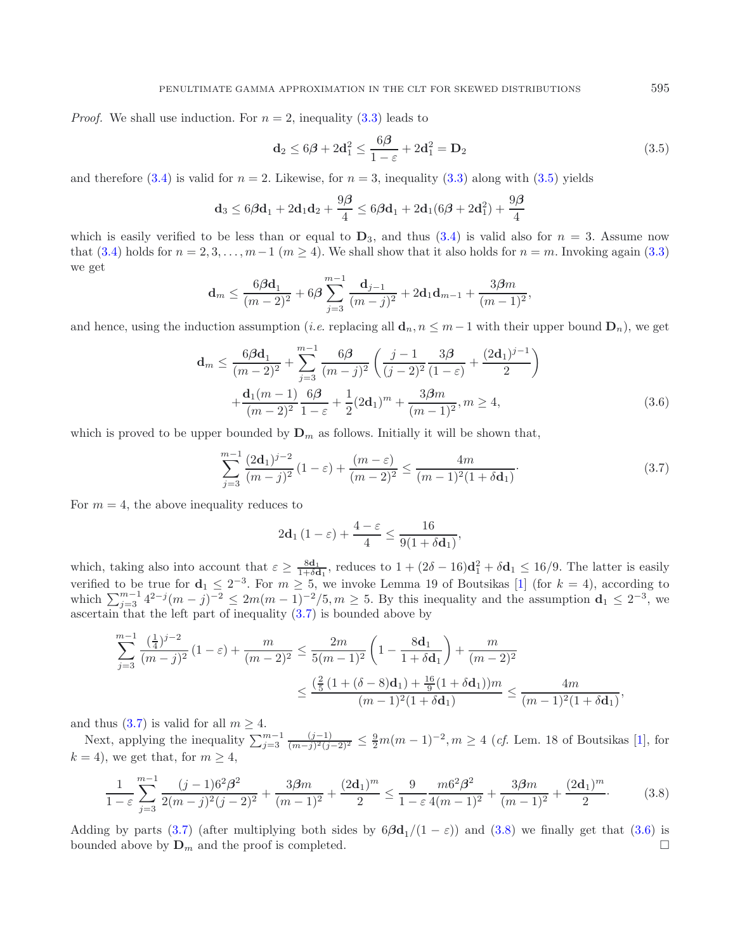*Proof.* We shall use induction. For  $n = 2$ , inequality  $(3.3)$  leads to

<span id="page-5-1"></span><span id="page-5-0"></span>
$$
\mathbf{d}_2 \le 6\boldsymbol{\beta} + 2\mathbf{d}_1^2 \le \frac{6\boldsymbol{\beta}}{1-\varepsilon} + 2\mathbf{d}_1^2 = \mathbf{D}_2 \tag{3.5}
$$

and therefore [\(3.4\)](#page-4-3) is valid for  $n = 2$ . Likewise, for  $n = 3$ , inequality [\(3.3\)](#page-4-2) along with [\(3.5\)](#page-5-0) yields

$$
\mathbf{d}_3 \le 6\boldsymbol{\beta}\mathbf{d}_1 + 2\mathbf{d}_1\mathbf{d}_2 + \frac{9\boldsymbol{\beta}}{4} \le 6\boldsymbol{\beta}\mathbf{d}_1 + 2\mathbf{d}_1(6\boldsymbol{\beta} + 2\mathbf{d}_1^2) + \frac{9\boldsymbol{\beta}}{4}
$$

which is easily verified to be less than or equal to  $D_3$ , and thus [\(3.4\)](#page-4-3) is valid also for  $n = 3$ . Assume now that [\(3.4\)](#page-4-3) holds for  $n = 2, 3, ..., m-1$  ( $m \ge 4$ ). We shall show that it also holds for  $n = m$ . Invoking again [\(3.3\)](#page-4-2) we get

$$
\mathbf{d}_m \leq \frac{6\beta \mathbf{d}_1}{(m-2)^2} + 6\beta \sum_{j=3}^{m-1} \frac{\mathbf{d}_{j-1}}{(m-j)^2} + 2\mathbf{d}_1 \mathbf{d}_{m-1} + \frac{3\beta m}{(m-1)^2},
$$

<span id="page-5-3"></span>and hence, using the induction assumption (*i.e.* replacing all  $\mathbf{d}_n$ ,  $n \leq m-1$  with their upper bound  $\mathbf{D}_n$ ), we get

$$
\mathbf{d}_m \le \frac{6\beta \mathbf{d}_1}{(m-2)^2} + \sum_{j=3}^{m-1} \frac{6\beta}{(m-j)^2} \left( \frac{j-1}{(j-2)^2} \frac{3\beta}{(1-\varepsilon)} + \frac{(2\mathbf{d}_1)^{j-1}}{2} \right) + \frac{\mathbf{d}_1(m-1)}{(m-2)^2} \frac{6\beta}{1-\varepsilon} + \frac{1}{2} (2\mathbf{d}_1)^m + \frac{3\beta m}{(m-1)^2}, m \ge 4,
$$
(3.6)

which is proved to be upper bounded by  $\mathbf{D}_m$  as follows. Initially it will be shown that,

$$
\sum_{j=3}^{m-1} \frac{(2\mathbf{d}_1)^{j-2}}{(m-j)^2} (1-\varepsilon) + \frac{(m-\varepsilon)}{(m-2)^2} \le \frac{4m}{(m-1)^2 (1+\delta \mathbf{d}_1)}.
$$
\n(3.7)

For  $m = 4$ , the above inequality reduces to

$$
2\mathbf{d}_1\left(1-\varepsilon\right) + \frac{4-\varepsilon}{4} \le \frac{16}{9(1+\delta\mathbf{d}_1)},
$$

which, taking also into account that  $\varepsilon \geq \frac{8d_1}{1+\delta d_1}$ , reduces to  $1 + (2\delta - 16)d_1^2 + \delta d_1 \leq 16/9$ . The latter is easily verified to be true for  $d_1 \leq 2^{-3}$ . For  $m \geq 5$ , we invoke Lemma 19 of Boutsikas [\[1\]](#page-14-7) (for  $k = 4$ ), according to which  $\sum_{j=3}^{m-1} 4^{2-j}(m-j)^{-2} \leq 2m(m-1)^{-2}/5, m \geq 5$ . By this inequality and the assumption  $\mathbf{d}_1 \leq 2^{-3}$ , we ascertain that the left part of inequality [\(3.7\)](#page-5-1) is bounded above by

<span id="page-5-2"></span>
$$
\sum_{j=3}^{m-1} \frac{\left(\frac{1}{4}\right)^{j-2}}{(m-j)^2} \left(1-\varepsilon\right) + \frac{m}{(m-2)^2} \le \frac{2m}{5(m-1)^2} \left(1 - \frac{8\mathbf{d}_1}{1+\delta \mathbf{d}_1}\right) + \frac{m}{(m-2)^2}
$$

$$
\le \frac{\left(\frac{2}{5}\left(1 + (\delta - 8)\mathbf{d}_1\right) + \frac{16}{9}\left(1 + \delta \mathbf{d}_1\right)\right)m}{(m-1)^2 \left(1 + \delta \mathbf{d}_1\right)} \le \frac{4m}{(m-1)^2 \left(1 + \delta \mathbf{d}_1\right)},
$$

and thus  $(3.7)$  is valid for all  $m \geq 4$ .

Next, applying the inequality  $\sum_{j=3}^{m-1} \frac{(j-1)}{(m-j)^2(j-2)^2} \leq \frac{9}{2}m(m-1)^{-2}, m \geq 4$  (*cf.* Lem. 18 of Boutsikas [\[1\]](#page-14-7), for  $k = 4$ , we get that, for  $m \geq 4$ ,

$$
\frac{1}{1-\varepsilon} \sum_{j=3}^{m-1} \frac{(j-1)6^2 \beta^2}{2(m-j)^2 (j-2)^2} + \frac{3 \beta m}{(m-1)^2} + \frac{(2d_1)^m}{2} \le \frac{9}{1-\varepsilon} \frac{m6^2 \beta^2}{4(m-1)^2} + \frac{3 \beta m}{(m-1)^2} + \frac{(2d_1)^m}{2}.
$$
 (3.8)

Adding by parts [\(3.7\)](#page-5-1) (after multiplying both sides by  $6\beta d_1/(1-\varepsilon)$ ) and [\(3.8\)](#page-5-2) we finally get that [\(3.6\)](#page-5-3) is bounded above by  $\mathbf{D}_m$  and the proof is completed.  $\Box$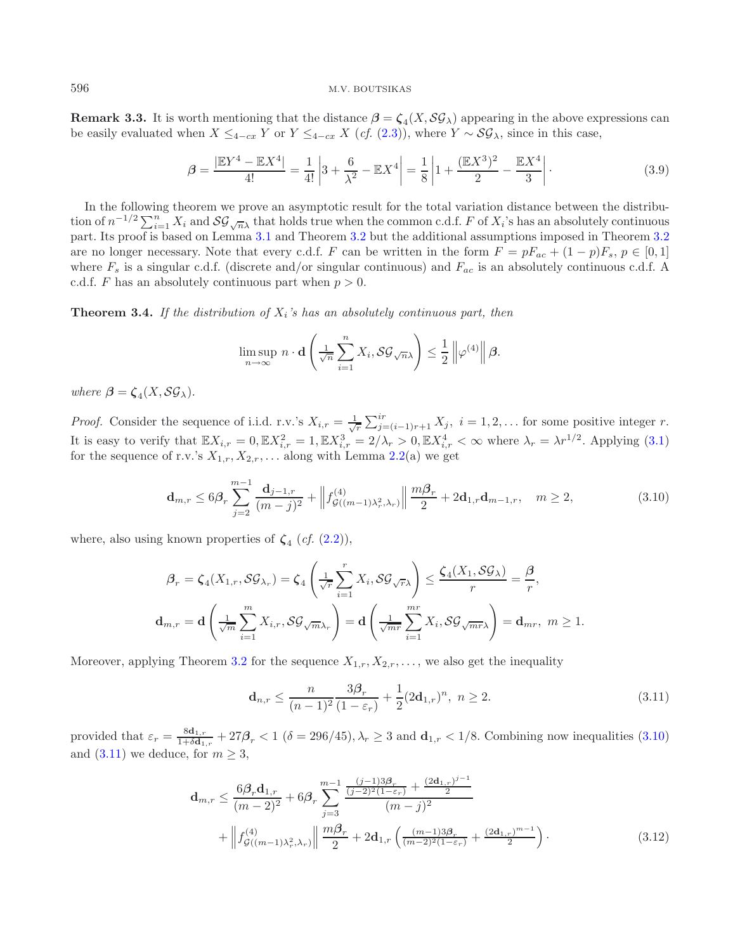**Remark 3.3.** It is worth mentioning that the distance  $\beta = \zeta_4(X, \mathcal{SG}_\lambda)$  appearing in the above expressions can be easily evaluated when  $X \leq_{4-cx} Y$  or  $Y \leq_{4-cx} X$  (*cf.* [\(2.3\)](#page-2-2)), where  $Y \sim \mathcal{SG}_{\lambda}$ , since in this case,

<span id="page-6-1"></span>
$$
\beta = \frac{|\mathbb{E}Y^4 - \mathbb{E}X^4|}{4!} = \frac{1}{4!} \left| 3 + \frac{6}{\lambda^2} - \mathbb{E}X^4 \right| = \frac{1}{8} \left| 1 + \frac{(\mathbb{E}X^3)^2}{2} - \frac{\mathbb{E}X^4}{3} \right|.
$$
 (3.9)

In the following theorem we prove an asymptotic result for the total variation distance between the distribution of  $n^{-1/2} \sum_{i=1}^n X_i$  and  $\mathcal{SG}_{\sqrt{n}\lambda}$  that holds true when the common c.d.f. F of  $X_i$ 's has an absolutely continuous part. Its proof is based on Lemma [3.1](#page-3-2) and Theorem [3.2](#page-4-0) but the additional assumptions imposed in Theorem [3.2](#page-4-0) are no longer necessary. Note that every c.d.f. F can be written in the form  $F = pF_{ac} + (1-p)F_s$ ,  $p \in [0,1]$ where  $F_s$  is a singular c.d.f. (discrete and/or singular continuous) and  $F_{ac}$  is an absolutely continuous c.d.f. A c.d.f. F has an absolutely continuous part when  $p > 0$ .

<span id="page-6-0"></span>**Theorem 3.4.** *If the distribution of* Xi*'s has an absolutely continuous part, then*

<span id="page-6-3"></span><span id="page-6-2"></span>
$$
\limsup_{n\to\infty} n\cdot d\left(\frac{1}{\sqrt{n}}\sum_{i=1}^n X_i, \mathcal{SG}_{\sqrt{n}\lambda}\right) \leq \frac{1}{2} \left\|\varphi^{(4)}\right\| \beta.
$$

*where*  $\beta = \zeta_4(X, \mathcal{SG}_\lambda)$ .

*Proof.* Consider the sequence of i.i.d. r.v.'s  $X_{i,r} = \frac{1}{\sqrt{r}} \sum_{j=(i-1)r+1}^{ir} X_j$ ,  $i = 1, 2, ...$  for some positive integer r. It is easy to verify that  $\mathbb{E} X_{i,r} = 0$ ,  $\mathbb{E} X_{i,r}^2 = 1$ ,  $\mathbb{E} X_{i,r}^3 = 2/\lambda_r > 0$ ,  $\mathbb{E} X_{i,r}^4 < \infty$  where  $\lambda_r = \lambda r^{1/2}$ . Applying [\(3.1\)](#page-3-0) for the sequence of r.v.'s  $X_{1,r}, X_{2,r}, \ldots$  along with Lemma [2.2\(](#page-3-1)a) we get

$$
\mathbf{d}_{m,r} \le 6\beta_r \sum_{j=2}^{m-1} \frac{\mathbf{d}_{j-1,r}}{(m-j)^2} + \left\| f_{\mathcal{G}((m-1)\lambda_r^2,\lambda_r)}^{\left(4\right)} \right\| \frac{m\beta_r}{2} + 2\mathbf{d}_{1,r} \mathbf{d}_{m-1,r}, \quad m \ge 2,
$$
\n(3.10)

where, also using known properties of  $\zeta_4$  (*cf.* [\(2.2\)](#page-2-3)),

$$
\beta_r = \zeta_4(X_{1,r}, \mathcal{SG}_{\lambda_r}) = \zeta_4\left(\frac{1}{\sqrt{r}}\sum_{i=1}^r X_i, \mathcal{SG}_{\sqrt{r}\lambda}\right) \le \frac{\zeta_4(X_1, \mathcal{SG}_{\lambda})}{r} = \frac{\beta}{r},
$$
  

$$
\mathbf{d}_{m,r} = \mathbf{d}\left(\frac{1}{\sqrt{m}}\sum_{i=1}^m X_{i,r}, \mathcal{SG}_{\sqrt{m}\lambda_r}\right) = \mathbf{d}\left(\frac{1}{\sqrt{mr}}\sum_{i=1}^{mr} X_i, \mathcal{SG}_{\sqrt{mr}\lambda}\right) = \mathbf{d}_{mr}, \ m \ge 1.
$$

Moreover, applying Theorem [3.2](#page-4-0) for the sequence  $X_{1,r}, X_{2,r}, \ldots$ , we also get the inequality

<span id="page-6-4"></span>
$$
\mathbf{d}_{n,r} \le \frac{n}{(n-1)^2} \frac{3\beta_r}{(1-\varepsilon_r)} + \frac{1}{2} (2\mathbf{d}_{1,r})^n, \ n \ge 2. \tag{3.11}
$$

provided that  $\varepsilon_r = \frac{8\mathbf{d}_{1,r}}{1+\delta\mathbf{d}_{1,r}} + 27\beta_r < 1$  ( $\delta = 296/45$ ),  $\lambda_r \geq 3$  and  $\mathbf{d}_{1,r} < 1/8$ . Combining now inequalities [\(3.10\)](#page-6-2) and  $(3.11)$  we deduce, for  $m \geq 3$ ,

$$
\mathbf{d}_{m,r} \leq \frac{6\beta_r \mathbf{d}_{1,r}}{(m-2)^2} + 6\beta_r \sum_{j=3}^{m-1} \frac{\frac{(j-1)3\beta_r}{(j-2)^2(1-\varepsilon_r)} + \frac{(2\mathbf{d}_{1,r})^{j-1}}{2}}{(m-j)^2} + \left\| f_{\mathcal{G}((m-1)\lambda_r^2,\lambda_r)}^{\left(4\right)} \right\| \frac{m\beta_r}{2} + 2\mathbf{d}_{1,r} \left( \frac{(m-1)3\beta_r}{(m-2)^2(1-\varepsilon_r)} + \frac{(2\mathbf{d}_{1,r})^{m-1}}{2} \right). \tag{3.12}
$$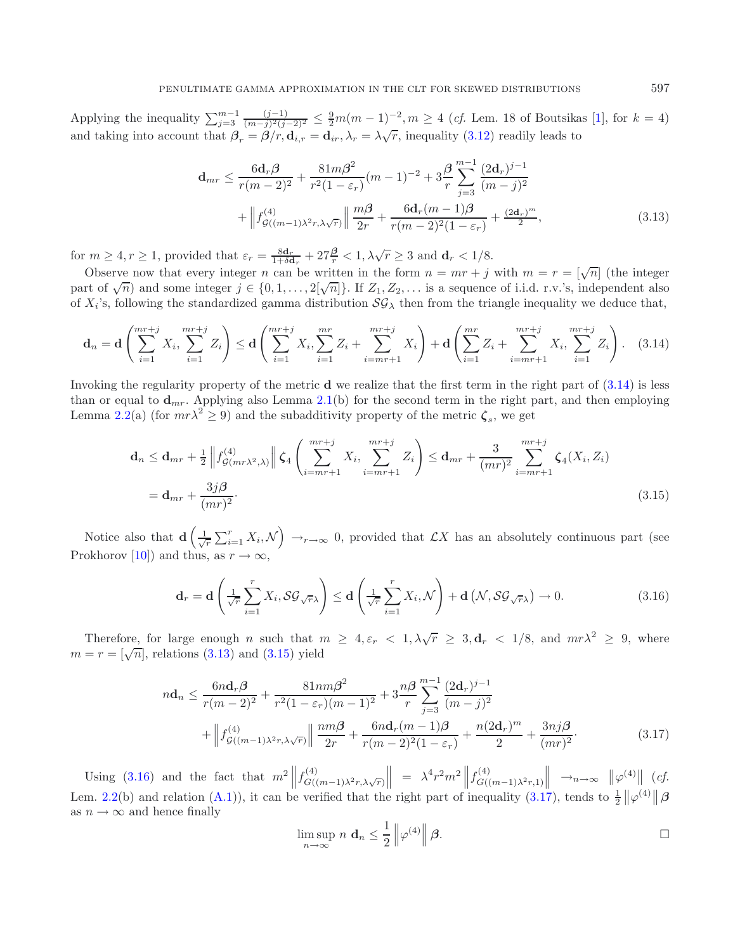<span id="page-7-1"></span>Applying the inequality  $\sum_{j=3}^{m-1} \frac{(j-1)}{(m-j)^2 (j-2)^2} \leq \frac{9}{2} m(m-1)^{-2}, m \geq 4$  (*cf.* Lem. 18 of Boutsikas [\[1](#page-14-7)], for  $k = 4$ ) and taking into account that  $\beta_r = \beta/r$ ,  $\mathbf{d}_{i,r} = \mathbf{d}_{ir}$ ,  $\lambda_r = \lambda\sqrt{r}$ , inequality [\(3.12\)](#page-6-4) readily leads to

<span id="page-7-0"></span>
$$
\mathbf{d}_{mr} \leq \frac{6\mathbf{d}_r \boldsymbol{\beta}}{r(m-2)^2} + \frac{81m\beta^2}{r^2(1-\varepsilon_r)}(m-1)^{-2} + 3\frac{\beta}{r} \sum_{j=3}^{m-1} \frac{(2\mathbf{d}_r)^{j-1}}{(m-j)^2} + \left\| f_{\mathcal{G}((m-1)\lambda^2 r, \lambda\sqrt{r})}(\frac{m\beta}{2r} + \frac{6\mathbf{d}_r(m-1)\beta}{r(m-2)^2(1-\varepsilon_r)} + \frac{(2\mathbf{d}_r)^m}{2},\right\)
$$
(3.13)

for  $m \geq 4, r \geq 1$ , provided that  $\varepsilon_r = \frac{8\mathbf{d}_r}{1+\delta\mathbf{d}_r} + 27\frac{\beta}{r} < 1, \lambda\sqrt{r} \geq 3$  and  $\mathbf{d}_r < 1/8$ .

Observe now that every integer n can be written in the form  $n = mr + j$  with  $m = r = \sqrt{n}$  (the integer part of  $\sqrt{n}$ ) and some integer  $j \in \{0, 1, ..., 2[\sqrt{n}]\}$ . If  $Z_1, Z_2, ...$  is a sequence of i.i.d. r.v.'s, independent also of  $X_i$ 's, following the standardized gamma distribution  $\mathcal{SG}_{\lambda}$  then from the triangle inequality we deduce that,

$$
\mathbf{d}_n = \mathbf{d} \left( \sum_{i=1}^{mr+j} X_i, \sum_{i=1}^{mr+j} Z_i \right) \le \mathbf{d} \left( \sum_{i=1}^{mr+j} X_i, \sum_{i=1}^{mr} Z_i + \sum_{i=mr+1}^{mr+j} X_i \right) + \mathbf{d} \left( \sum_{i=1}^{mr} Z_i + \sum_{i=mr+1}^{mr+j} X_i, \sum_{i=1}^{mr+j} Z_i \right). \tag{3.14}
$$

<span id="page-7-2"></span>Invoking the regularity property of the metric **d** we realize that the first term in the right part of [\(3.14\)](#page-7-0) is less than or equal to  $\mathbf{d}_{mr}$ . Applying also Lemma [2.1\(](#page-2-0)b) for the second term in the right part, and then employing Lemma [2.2\(](#page-3-1)a) (for  $mr\lambda^2 \ge 9$ ) and the subadditivity property of the metric  $\zeta_s$ , we get

<span id="page-7-3"></span>
$$
\mathbf{d}_n \leq \mathbf{d}_{mr} + \frac{1}{2} \left\| f_{\mathcal{G}(mr\lambda^2,\lambda)}^{(4)} \right\| \zeta_4 \left( \sum_{i=mr+1}^{mr+j} X_i, \sum_{i=mr+1}^{mr+j} Z_i \right) \leq \mathbf{d}_{mr} + \frac{3}{(mr)^2} \sum_{i=mr+1}^{mr+j} \zeta_4(X_i, Z_i)
$$
\n
$$
= \mathbf{d}_{mr} + \frac{3j\beta}{(mr)^2}.
$$
\n(3.15)

Notice also that  $\mathbf{d}\left(\frac{1}{\sqrt{r}}\sum_{i=1}^r X_i,\mathcal{N}\right) \to_{r\to\infty} 0$ , provided that  $\mathcal{L}X$  has an absolutely continuous part (see Prokhorov [\[10](#page-14-10)]) and thus, as  $r \to \infty$ ,

$$
\mathbf{d}_{r} = \mathbf{d} \left( \frac{1}{\sqrt{r}} \sum_{i=1}^{r} X_{i}, \mathcal{SG}_{\sqrt{r}\lambda} \right) \leq \mathbf{d} \left( \frac{1}{\sqrt{r}} \sum_{i=1}^{r} X_{i}, \mathcal{N} \right) + \mathbf{d} \left( \mathcal{N}, \mathcal{SG}_{\sqrt{r}\lambda} \right) \to 0. \tag{3.16}
$$

<span id="page-7-4"></span>Therefore, for large enough n such that  $m \geq 4, \varepsilon_r < 1, \lambda \sqrt{r} \geq 3, d_r < 1/8$ , and  $mr\lambda^2 \geq 9$ , where  $m = r = [\sqrt{n}]$ , relations [\(3.13\)](#page-7-1) and [\(3.15\)](#page-7-2) yield

$$
n\mathbf{d}_n \le \frac{6n\mathbf{d}_r\boldsymbol{\beta}}{r(m-2)^2} + \frac{81nm\boldsymbol{\beta}^2}{r^2(1-\varepsilon_r)(m-1)^2} + 3\frac{n\boldsymbol{\beta}}{r} \sum_{j=3}^{m-1} \frac{(2\mathbf{d}_r)^{j-1}}{(m-j)^2} + \left\| f_{\mathcal{G}((m-1)\lambda^2 r, \lambda\sqrt{r})}^{(4)} \right\| \frac{nm\boldsymbol{\beta}}{2r} + \frac{6n\mathbf{d}_r(m-1)\boldsymbol{\beta}}{r(m-2)^2(1-\varepsilon_r)} + \frac{n(2\mathbf{d}_r)^m}{2} + \frac{3nj\boldsymbol{\beta}}{(mr)^2}.
$$
 (3.17)

Using [\(3.16\)](#page-7-3) and the fact that  $m^2 \left\| f_{G((m-1)\lambda^2 r, \lambda \sqrt{r})}^{(4)} \right\| = \lambda^4 r^2 m^2 \left\| f_{G((m-1)\lambda^2 r, 1)}^{(4)} \right\|$  $\left\|\rightarrow_{n\to\infty}\right\| \varphi^{(4)}\right\| (cf.$ Lem. [2.2\(](#page-3-1)b) and relation [\(A.1\)](#page-14-11)), it can be verified that the right part of inequality [\(3.17\)](#page-7-4), tends to  $\frac{1}{2} \|\varphi^{(4)}\| \beta$ as  $n \to \infty$  and hence finally

$$
\limsup_{n \to \infty} n \, \mathbf{d}_n \le \frac{1}{2} \left\| \varphi^{(4)} \right\| \beta.
$$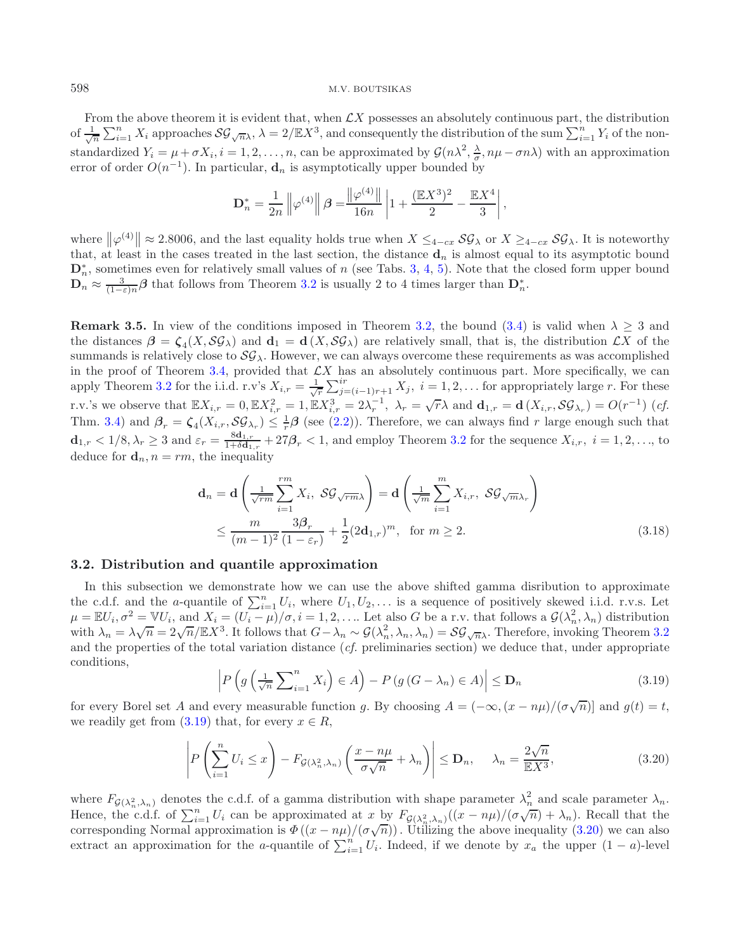From the above theorem it is evident that, when  $\mathcal{L}X$  possesses an absolutely continuous part, the distribution of  $\frac{1}{\sqrt{n}}\sum_{i=1}^n X_i$  approaches  $\mathcal{SG}_{\sqrt{n}\lambda}$ ,  $\lambda = 2/\mathbb{E}X^3$ , and consequently the distribution of the sum  $\sum_{i=1}^n Y_i$  of the nonstandardized  $Y_i = \mu + \sigma X_i$ ,  $i = 1, 2, ..., n$ , can be approximated by  $\mathcal{G}(n\lambda^2, \frac{\lambda}{\sigma}, n\mu - \sigma n\lambda)$  with an approximation error of order  $O(n^{-1})$ . In particular, **d**<sub>n</sub> is asymptotically upper bounded by

$$
\mathbf{D}_n^* = \frac{1}{2n} \left\| \varphi^{(4)} \right\| \beta = \frac{\left\| \varphi^{(4)} \right\|}{16n} \left| 1 + \frac{(\mathbb{E} X^3)^2}{2} - \frac{\mathbb{E} X^4}{3} \right|,
$$

where  $\|\varphi^{(4)}\| \approx 2.8006$ , and the last equality holds true when  $X \leq_{4-cx} \mathcal{SG}_{\lambda}$  or  $X \geq_{4-cx} \mathcal{SG}_{\lambda}$ . It is noteworthy that, at least in the cases treated in the last section, the distance  $\mathbf{d}_n$  is almost equal to its asymptotic bound  $\mathbf{D}_{n}^{*}$ , sometimes even for relatively small values of n (see Tabs. [3,](#page-11-0) [4,](#page-12-0) [5\)](#page-13-0). Note that the closed form upper bound  $\mathbf{D}_n \approx \frac{3}{(1-\varepsilon)n} \boldsymbol{\beta}$  that follows from Theorem [3.2](#page-4-0) is usually 2 to 4 times larger than  $\mathbf{D}_n^*$ .

**Remark 3.5.** In view of the conditions imposed in Theorem [3.2,](#page-4-0) the bound [\(3.4\)](#page-4-3) is valid when  $\lambda \geq 3$  and the distances  $\beta = \zeta_4(X, \mathcal{SG}_\lambda)$  and  $\mathbf{d}_1 = \mathbf{d}(X, \mathcal{SG}_\lambda)$  are relatively small, that is, the distribution  $\mathcal{L}X$  of the summands is relatively close to  $\mathcal{SG}_\lambda$ . However, we can always overcome these requirements as was accomplished in the proof of Theorem [3.4,](#page-6-0) provided that  $\mathcal{L}X$  has an absolutely continuous part. More specifically, we can apply Theorem [3.2](#page-4-0) for the i.i.d. r.v's  $X_{i,r} = \frac{1}{\sqrt{r}} \sum_{j=(i-1)r+1}^{ir} X_j$ ,  $i = 1, 2, \ldots$  for appropriately large r. For these r.v.'s we observe that  $\mathbb{E}X_{i,r} = 0$ ,  $\mathbb{E}X_{i,r}^2 = 1$ ,  $\mathbb{E}X_{i,r}^3 = 2\lambda_r^{-1}$ ,  $\lambda_r = \sqrt{r}\lambda$  and  $\mathbf{d}_{1,r} = \mathbf{d}(X_{i,r}, \mathcal{SG}_{\lambda_r}) = O(r^{-1})$  (*cf.* Thm. [3.4\)](#page-6-0) and  $\beta_r = \zeta_4(X_{i,r}, \mathcal{SG}_{\lambda_r}) \leq \frac{1}{r}\beta$  (see [\(2.2\)](#page-2-3)). Therefore, we can always find r large enough such that  $\mathbf{d}_{1,r} < 1/8, \lambda_r \geq 3$  and  $\varepsilon_r = \frac{8\mathbf{d}_{1,r}}{1+\delta \mathbf{d}_{1,r}} + 27\beta_r < 1$ , and employ Theorem [3.2](#page-4-0) for the sequence  $X_{i,r}, i = 1, 2, \ldots$ , to deduce for  $\mathbf{d}_n$ ,  $n = rm$ , the inequality

<span id="page-8-1"></span>
$$
\mathbf{d}_n = \mathbf{d} \left( \frac{1}{\sqrt{rm}} \sum_{i=1}^{rm} X_i, \ S \mathcal{G}_{\sqrt{rm}} \right) = \mathbf{d} \left( \frac{1}{\sqrt{m}} \sum_{i=1}^{m} X_{i,r}, \ S \mathcal{G}_{\sqrt{m} \lambda_r} \right)
$$
  

$$
\leq \frac{m}{(m-1)^2} \frac{3\beta_r}{(1-\varepsilon_r)} + \frac{1}{2} (2\mathbf{d}_{1,r})^m, \text{ for } m \geq 2.
$$
 (3.18)

### <span id="page-8-2"></span><span id="page-8-0"></span>**3.2. Distribution and quantile approximation**

In this subsection we demonstrate how we can use the above shifted gamma disribution to approximate the c.d.f. and the a-quantile of  $\sum_{i=1}^{n} U_i$ , where  $U_1, U_2, \ldots$  is a sequence of positively skewed i.i.d. r.v.s. Let  $\mu = \mathbb{E}U_i$ ,  $\sigma^2 = \mathbb{V}U_i$ , and  $X_i = (U_i - \mu)/\sigma$ ,  $i = 1, 2, \ldots$  Let also G be a r.v. that follows a  $\mathcal{G}(\lambda_n^2, \lambda_n)$  distribution  $\mu = \pm \sigma_i, \sigma = \sqrt{\sigma}, \text{ and } \lambda_i = (\sigma_i - \mu)/\sigma, i = 1, 2, ...$  Let also G be a r.v. that follows a  $\mathcal{G}(\lambda_n, \lambda_n)$  distribution<br>with  $\lambda_n = \lambda \sqrt{n} = 2\sqrt{n}/\mathbb{E}X^3$ . It follows that  $G - \lambda_n \sim \mathcal{G}(\lambda_n^2, \lambda_n, \lambda_n) = \mathcal{SG}_{\sqrt{n}\lambda}$ . Therefore, i and the properties of the total variation distance (*cf.* preliminaries section) we deduce that, under appropriate conditions,

$$
\left| P \left( g \left( \frac{1}{\sqrt{n}} \sum_{i=1}^{n} X_i \right) \in A \right) - P \left( g \left( G - \lambda_n \right) \in A \right) \right| \le \mathbf{D}_n \tag{3.19}
$$

for every Borel set A and every measurable function g. By choosing  $A = (-\infty, (x - n\mu)/(\sigma\sqrt{n})]$  and  $g(t) = t$ , we readily get from  $(3.19)$  that, for every  $x \in R$ ,

$$
\left| P\left(\sum_{i=1}^{n} U_i \le x\right) - F_{\mathcal{G}(\lambda_n^2, \lambda_n)}\left(\frac{x - n\mu}{\sigma\sqrt{n}} + \lambda_n\right) \right| \le \mathbf{D}_n, \quad \lambda_n = \frac{2\sqrt{n}}{\mathbb{E}X^3},\tag{3.20}
$$

where  $F_{\mathcal{G}(\lambda_n^2,\lambda_n)}$  denotes the c.d.f. of a gamma distribution with shape parameter  $\lambda_n^2$  and scale parameter  $\lambda_n$ . Hence, the c.d.f. of  $\sum_{i=1}^{n} U_i$  can be approximated at x by  $F_{\mathcal{G}(\lambda_n^2,\lambda_n)}((x-n\mu)/(\sigma\sqrt{n})+\lambda_n)$ . Recall that the Thence, the c.d.i. of  $\sum_{i=1}^{\infty} \sigma_i$  can be approximated at x by  $T_{\mathcal{G}(\lambda_n^2,\lambda_n)}(x - n\mu)/(\sigma \sqrt{n}) + \lambda_n$ ). Recall that the corresponding Normal approximation is  $\Phi((x - n\mu)/(\sigma \sqrt{n}))$ . Utilizing the above inequality [\(3.20\)](#page-8-1) we extract an approximation for the a-quantile of  $\sum_{i=1}^{n} U_i$ . Indeed, if we denote by  $x_a$  the upper  $(1-a)$ -level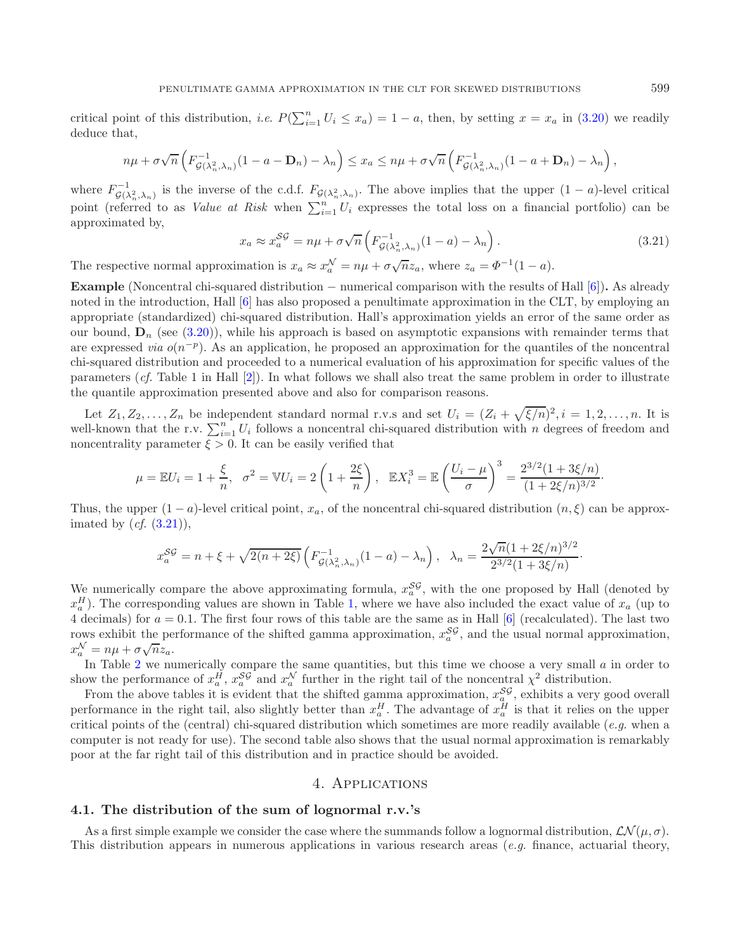<span id="page-9-0"></span>critical point of this distribution, *i.e.*  $P(\sum_{i=1}^{n} U_i \le x_a) = 1 - a$ , then, by setting  $x = x_a$  in [\(3.20\)](#page-8-1) we readily deduce that,

$$
n\mu + \sigma\sqrt{n}\left(F_{\mathcal{G}(\lambda_n^2,\lambda_n)}^{-1}(1-a-\mathbf{D}_n)-\lambda_n\right) \leq x_a \leq n\mu + \sigma\sqrt{n}\left(F_{\mathcal{G}(\lambda_n^2,\lambda_n)}^{-1}(1-a+\mathbf{D}_n)-\lambda_n\right),
$$

where  $F_{\mathcal{G}(\lambda_n^2,\lambda_n)}^{-1}$  is the inverse of the c.d.f.  $F_{\mathcal{G}(\lambda_n^2,\lambda_n)}$ . The above implies that the upper  $(1-a)$ -level critical point (referred to as *Value at Risk* when  $\sum_{i=1}^{n} U_i$  expresses the total loss on a financial portfolio) can be approximated by,

$$
x_a \approx x_a^{SG} = n\mu + \sigma \sqrt{n} \left( F_{\mathcal{G}(\lambda_n^2, \lambda_n)}^{-1} (1 - a) - \lambda_n \right). \tag{3.21}
$$

The respective normal approximation is  $x_a \approx x_a^{\mathcal{N}} = n\mu + \sigma \sqrt{n} z_a$ , where  $z_a = \Phi^{-1}(1-a)$ .

**Example** (Noncentral chi-squared distribution − numerical comparison with the results of Hall [\[6](#page-14-1)])**.** As already noted in the introduction, Hall [\[6](#page-14-1)] has also proposed a penultimate approximation in the CLT, by employing an appropriate (standardized) chi-squared distribution. Hall's approximation yields an error of the same order as our bound,  $\mathbf{D}_n$  (see [\(3.20\)](#page-8-1)), while his approach is based on asymptotic expansions with remainder terms that are expressed *via*  $o(n^{-p})$ . As an application, he proposed an approximation for the quantiles of the noncentral chi-squared distribution and proceeded to a numerical evaluation of his approximation for specific values of the parameters (*cf.* Table 1 in Hall [\[2\]](#page-14-12)). In what follows we shall also treat the same problem in order to illustrate the quantile approximation presented above and also for comparison reasons.

Let  $Z_1, Z_2, \ldots, Z_n$  be independent standard normal r.v.s and set  $U_i = (Z_i + \sqrt{\xi/n})^2, i = 1, 2, \ldots, n$ . It is well-known that the r.v.  $\sum_{i=1}^{n} U_i$  follows a noncentral chi-squared distribution with n degrees of freedom and noncentrality parameter  $\xi > 0$ . It can be easily verified that

$$
\mu = \mathbb{E}U_i = 1 + \frac{\xi}{n}, \quad \sigma^2 = \mathbb{V}U_i = 2\left(1 + \frac{2\xi}{n}\right), \quad \mathbb{E}X_i^3 = \mathbb{E}\left(\frac{U_i - \mu}{\sigma}\right)^3 = \frac{2^{3/2}(1 + 3\xi/n)}{(1 + 2\xi/n)^{3/2}}.
$$

Thus, the upper  $(1 - a)$ -level critical point,  $x_a$ , of the noncentral chi-squared distribution  $(n, \xi)$  can be approximated by (*cf.* [\(3.21\)](#page-9-0)),

$$
x_a^{SG} = n + \xi + \sqrt{2(n+2\xi)} \left( F_{\mathcal{G}(\lambda_n^2, \lambda_n)}^{-1}(1-a) - \lambda_n \right), \quad \lambda_n = \frac{2\sqrt{n}(1+2\xi/n)^{3/2}}{2^{3/2}(1+3\xi/n)}.
$$

We numerically compare the above approximating formula,  $x_a^{SS}$ , with the one proposed by Hall (denoted by  $x_a^H$ ). The corresponding values are shown in Table [1,](#page-10-0) where we have also included the exact value of  $x_a$  (up to 4 decimals) for  $a = 0.1$ . The first four rows of this table are the same as in Hall [\[6](#page-14-1)] (recalculated). The last two rows exhibit the performance of the shifted gamma approximation,  $x_a^{SS}$ , and the usual normal approximation, rows exhibit the per-

In Table [2](#page-10-1) we numerically compare the same quantities, but this time we choose a very small  $a$  in order to show the performance of  $x_a^H$ ,  $x_a^S$  and  $x_a^N$  further in the right tail of the noncentral  $\chi^2$  distribution.

From the above tables it is evident that the shifted gamma approximation,  $x_{a}^{SG}$ , exhibits a very good overall performance in the right tail, also slightly better than  $x_a^H$ . The advantage of  $x_a^H$  is that it relies on the upper critical points of the (central) chi-squared distribution which sometimes are more readily available (*e.g.* when a computer is not ready for use). The second table also shows that the usual normal approximation is remarkably poor at the far right tail of this distribution and in practice should be avoided.

## 4. Applications

### **4.1. The distribution of the sum of lognormal r.v.'s**

As a first simple example we consider the case where the summands follow a lognormal distribution,  $\mathcal{LN}(\mu, \sigma)$ . This distribution appears in numerous applications in various research areas (*e.g.* finance, actuarial theory,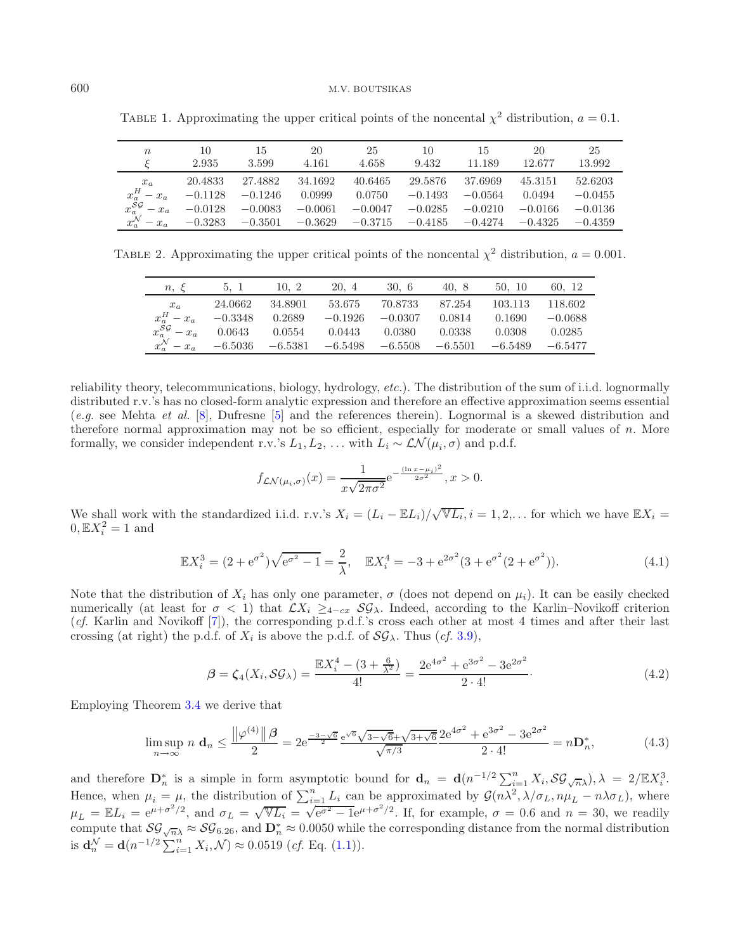| $\,n$                                       | 10                     | 15                     | 20                     | 25                     | 10                     | 15                     | 20                     | 25                     |
|---------------------------------------------|------------------------|------------------------|------------------------|------------------------|------------------------|------------------------|------------------------|------------------------|
|                                             | 2.935                  | 3.599                  | 4.161                  | 4.658                  | 9.432                  | 11.189                 | 12.677                 | 13.992                 |
| $x_a$                                       | 20.4833                | 27.4882                | 34.1692                | 40.6465                | 29.5876                | 37.6969                | 45.3151                | 52.6203                |
| $x_a^H - x_a$                               | $-0.1128$              | $-0.1246$              | 0.0999                 | 0.0750                 | $-0.1493$              | $-0.0564$              | 0.0494                 | $-0.0455$              |
| $- x_a$<br>$x^{\mathcal{N}}_{a}$<br>$- x_a$ | $-0.0128$<br>$-0.3283$ | $-0.0083$<br>$-0.3501$ | $-0.0061$<br>$-0.3629$ | $-0.0047$<br>$-0.3715$ | $-0.0285$<br>$-0.4185$ | $-0.0210$<br>$-0.4274$ | $-0.0166$<br>$-0.4325$ | $-0.0136$<br>$-0.4359$ |

<span id="page-10-1"></span><span id="page-10-0"></span>TABLE 1. Approximating the upper critical points of the noncental  $\chi^2$  distribution,  $a = 0.1$ .

TABLE 2. Approximating the upper critical points of the noncental  $\chi^2$  distribution,  $a = 0.001$ .

| $n, \varepsilon$                | 5, 1      | 10, 2     | 20, 4     | 30, 6     | 40, 8     | 50, 10    | 60. 12    |
|---------------------------------|-----------|-----------|-----------|-----------|-----------|-----------|-----------|
| $x_a$                           | 24.0662   | 34.8901   | 53.675    | 70.8733   | 87.254    | 103.113   | 118.602   |
| $x_a^H - x_a$                   | $-0.3348$ | 0.2689    | $-0.1926$ | $-0.0307$ | 0.0814    | 0.1690    | $-0.0688$ |
| $x_a^{\mathcal{SG}}-x_a$        | 0.0643    | 0.0554    | 0.0443    | 0.0380    | 0.0338    | 0.0308    | 0.0285    |
| $x^{\mathcal{N}}_{a}$<br>$-x_a$ | $-6.5036$ | $-6.5381$ | $-6.5498$ | $-6.5508$ | $-6.5501$ | $-6.5489$ | $-6.5477$ |
|                                 |           |           |           |           |           |           |           |

<span id="page-10-2"></span>reliability theory, telecommunications, biology, hydrology, *etc.*). The distribution of the sum of i.i.d. lognormally distributed r.v.'s has no closed-form analytic expression and therefore an effective approximation seems essential (*e.g.* see Mehta *et al.* [\[8](#page-14-13)], Dufresne [\[5\]](#page-14-14) and the references therein). Lognormal is a skewed distribution and therefore normal approximation may not be so efficient, especially for moderate or small values of n. More formally, we consider independent r.v.'s  $L_1, L_2, \ldots$  with  $L_i \sim \mathcal{LN}(\mu_i, \sigma)$  and p.d.f.

<span id="page-10-3"></span>
$$
f_{\mathcal{LN}(\mu_i,\sigma)}(x) = \frac{1}{x\sqrt{2\pi\sigma^2}} e^{-\frac{(\ln x - \mu_i)^2}{2\sigma^2}}, x > 0.
$$

We shall work with the standardized i.i.d. r.v.'s  $X_i = (L_i - \mathbb{E}L_i)/\sqrt{\mathbb{V}L_i}$ ,  $i = 1, 2, \ldots$  for which we have  $\mathbb{E}X_i =$  $0, \mathbb{E}X_i^2 = 1$  and

$$
\mathbb{E}X_i^3 = (2 + e^{\sigma^2})\sqrt{e^{\sigma^2} - 1} = \frac{2}{\lambda}, \quad \mathbb{E}X_i^4 = -3 + e^{2\sigma^2}(3 + e^{\sigma^2}(2 + e^{\sigma^2})).
$$
\n(4.1)

Note that the distribution of  $X_i$  has only one parameter,  $\sigma$  (does not depend on  $\mu_i$ ). It can be easily checked numerically (at least for  $\sigma < 1$ ) that  $\mathcal{L}X_i \geq_{4-cx} \mathcal{SG}_\lambda$ . Indeed, according to the Karlin–Novikoff criterion (*cf.* Karlin and Novikoff [\[7](#page-14-15)]), the corresponding p.d.f.'s cross each other at most 4 times and after their last crossing (at right) the p.d.f. of  $X_i$  is above the p.d.f. of  $\mathcal{SG}_{\lambda}$ . Thus (*cf.* [3.9\)](#page-6-1),

$$
\beta = \zeta_4(X_i, \mathcal{SG}_\lambda) = \frac{\mathbb{E}X_i^4 - (3 + \frac{6}{\lambda^2})}{4!} = \frac{2e^{4\sigma^2} + e^{3\sigma^2} - 3e^{2\sigma^2}}{2 \cdot 4!}.
$$
\n(4.2)

Employing Theorem [3.4](#page-6-0) we derive that

$$
\limsup_{n \to \infty} n \mathbf{d}_n \le \frac{\left\| \varphi^{(4)} \right\| \beta}{2} = 2e^{\frac{-3 - \sqrt{6}}{2} \frac{e^{\sqrt{6}} \sqrt{3 - \sqrt{6}} + \sqrt{3 + \sqrt{6}}}{\sqrt{\pi/3}} \cdot 2} \cdot \frac{2e^{4\sigma^2} + e^{3\sigma^2} - 3e^{2\sigma^2}}{2 \cdot 4!} = n \mathbf{D}_n^*,
$$
\n(4.3)

and therefore  $\mathbf{D}_n^*$  is a simple in form asymptotic bound for  $\mathbf{d}_n = \mathbf{d}(n^{-1/2} \sum_{i=1}^n X_i, \mathcal{SG}_{\sqrt{n}\lambda}), \lambda = 2/\mathbb{E}X_i^3$ . Hence, when  $\mu_i = \mu$ , the distribution of  $\sum_{i=1}^n L_i$  can be approximated by  $\mathcal{G}(n\lambda^2, \lambda/\sigma_L, n\mu_L - n\lambda\sigma_L)$ , where  $\mu_L = \mathbb{E}L_i = e^{\mu + \sigma^2/2}$ , and  $\sigma_L = \sqrt{\mathbb{V}L_i} = \sqrt{e^{\sigma^2} - 1}e^{\mu + \sigma^2/2}$ . If, for example,  $\sigma = 0$ compute that  $\mathcal{SG}_{\sqrt{n}} \approx \mathcal{SG}_{6.26}$ , and  $\mathbf{D}_n^* \approx 0.0050$  while the corresponding distance from the normal distribution is  $\mathbf{d}_n^{\mathcal{N}} = \mathbf{d}(n^{-1/2} \sum_{i=1}^n X_i, \mathcal{N}) \approx 0.0519 \ (cf. \text{ Eq. (1.1)})$  $\mathbf{d}_n^{\mathcal{N}} = \mathbf{d}(n^{-1/2} \sum_{i=1}^n X_i, \mathcal{N}) \approx 0.0519 \ (cf. \text{ Eq. (1.1)})$  $\mathbf{d}_n^{\mathcal{N}} = \mathbf{d}(n^{-1/2} \sum_{i=1}^n X_i, \mathcal{N}) \approx 0.0519 \ (cf. \text{ Eq. (1.1)})$ .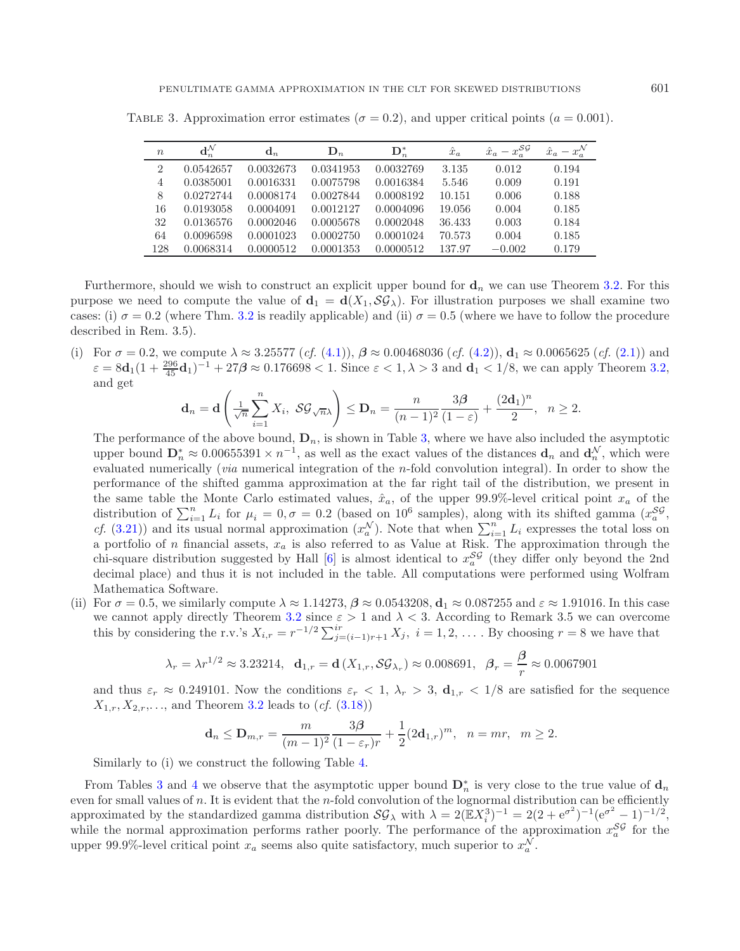| $\boldsymbol{n}$ | $\mathbf{d}^{\mathcal{N}}_n$ | $\mathbf{d}_n$ | $\mathbf{D}_n$ | $\mathbf{D}_n^*$ | $\hat{x}_a$ | $-x_a^{\mathcal{SG}}$<br>$\hat{x}_a$ |       |
|------------------|------------------------------|----------------|----------------|------------------|-------------|--------------------------------------|-------|
| $\overline{2}$   | 0.0542657                    | 0.0032673      | 0.0341953      | 0.0032769        | 3.135       | 0.012                                | 0.194 |
| $\overline{4}$   | 0.0385001                    | 0.0016331      | 0.0075798      | 0.0016384        | 5.546       | 0.009                                | 0.191 |
| 8                | 0.0272744                    | 0.0008174      | 0.0027844      | 0.0008192        | 10.151      | 0.006                                | 0.188 |
| 16               | 0.0193058                    | 0.0004091      | 0.0012127      | 0.0004096        | 19.056      | 0.004                                | 0.185 |
| 32               | 0.0136576                    | 0.0002046      | 0.0005678      | 0.0002048        | 36.433      | 0.003                                | 0.184 |
| 64               | 0.0096598                    | 0.0001023      | 0.0002750      | 0.0001024        | 70.573      | 0.004                                | 0.185 |
| 128              | 0.0068314                    | 0.0000512      | 0.0001353      | 0.0000512        | 137.97      | $-0.002$                             | 0.179 |

<span id="page-11-0"></span>TABLE 3. Approximation error estimates ( $\sigma = 0.2$ ), and upper critical points ( $a = 0.001$ ).

Furthermore, should we wish to construct an explicit upper bound for  $\mathbf{d}_n$  we can use Theorem [3.2.](#page-4-0) For this purpose we need to compute the value of  $\mathbf{d}_1 = \mathbf{d}(X_1, \mathcal{SG}_\lambda)$ . For illustration purposes we shall examine two cases: (i)  $\sigma = 0.2$  (where Thm. [3.2](#page-4-0) is readily applicable) and (ii)  $\sigma = 0.5$  (where we have to follow the procedure described in Rem. 3.5).

(i) For  $\sigma = 0.2$ , we compute  $\lambda \approx 3.25577$  (*cf.* [\(4.1\)](#page-10-2)),  $\beta \approx 0.00468036$  (*cf.* [\(4.2\)](#page-10-3)),  $\mathbf{d}_1 \approx 0.0065625$  (*cf.* [\(2.1\)](#page-2-1)) and  $\varepsilon = 8d_1(1 + \frac{296}{45}d_1)^{-1} + 27\beta \approx 0.176698 < 1.$  Since  $\varepsilon < 1, \lambda > 3$  and  $d_1 < 1/8$ , we can apply Theorem [3.2,](#page-4-0) and get

$$
\mathbf{d}_n = \mathbf{d} \left( \frac{1}{\sqrt{n}} \sum_{i=1}^n X_i, \ \mathcal{SG}_{\sqrt{n}\lambda} \right) \le \mathbf{D}_n = \frac{n}{(n-1)^2} \frac{3\beta}{(1-\varepsilon)} + \frac{(2\mathbf{d}_1)^n}{2}, \ \ n \ge 2.
$$

The performance of the above bound,  $\mathbf{D}_n$ , is shown in Table [3,](#page-11-0) where we have also included the asymptotic upper bound  $\mathbf{D}_n^* \approx 0.00655391 \times n^{-1}$ , as well as the exact values of the distances  $\mathbf{d}_n$  and  $\mathbf{d}_n^{\mathcal{N}}$ , which were evaluated numerically (*via* numerical integration of the n-fold convolution integral). In order to show the performance of the shifted gamma approximation at the far right tail of the distribution, we present in the same table the Monte Carlo estimated values,  $\hat{x}_a$ , of the upper 99.9%-level critical point  $x_a$  of the distribution of  $\sum_{i=1}^{n} L_i$  for  $\mu_i = 0, \sigma = 0.2$  (based on 10<sup>6</sup> samples), along with its shifted gamma  $(x_a^{\mathcal{SG}},$ *cf.* [\(3.21\)](#page-9-0)) and its usual normal approximation  $(x_a^{\mathcal{N}})$ . Note that when  $\sum_{i=1}^n L_i$  expresses the total loss on a portfolio of n financial assets,  $x_a$  is also referred to as Value at Risk. The approximation through the chi-square distribution suggested by Hall [\[6](#page-14-1)] is almost identical to  $x_a^{SG}$  (they differ only beyond the 2nd decimal place) and thus it is not included in the table. All computations were performed using Wolfram Mathematica Software.

(ii) For  $\sigma = 0.5$ , we similarly compute  $\lambda \approx 1.14273$ ,  $\beta \approx 0.0543208$ ,  $\mathbf{d}_1 \approx 0.087255$  and  $\varepsilon \approx 1.91016$ . In this case we cannot apply directly Theorem [3.2](#page-4-0) since  $\varepsilon > 1$  and  $\lambda < 3$ . According to Remark 3.5 we can overcome this by considering the r.v.'s  $X_{i,r} = r^{-1/2} \sum_{j=(i-1)r+1}^{ir} X_j$ ,  $i = 1, 2, \ldots$ . By choosing  $r = 8$  we have that

$$
\lambda_r = \lambda r^{1/2} \approx 3.23214, \quad \mathbf{d}_{1,r} = \mathbf{d}\left(X_{1,r}, \mathcal{SG}_{\lambda_r}\right) \approx 0.008691, \quad \beta_r = \frac{\beta}{r} \approx 0.0067901
$$

and thus  $\varepsilon_r \approx 0.249101$ . Now the conditions  $\varepsilon_r < 1$ ,  $\lambda_r > 3$ ,  $\mathbf{d}_{1,r} < 1/8$  are satisfied for the sequence  $X_{1,r}, X_{2,r}, \ldots$ , and Theorem [3.2](#page-4-0) leads to  $(cf. (3.18))$  $(cf. (3.18))$  $(cf. (3.18))$ 

$$
\mathbf{d}_n \le \mathbf{D}_{m,r} = \frac{m}{(m-1)^2} \frac{3\beta}{(1-\varepsilon_r)r} + \frac{1}{2} (2\mathbf{d}_{1,r})^m, \ \ n = mr, \ \ m \ge 2.
$$

Similarly to (i) we construct the following Table [4.](#page-12-0)

From Tables [3](#page-11-0) and [4](#page-12-0) we observe that the asymptotic upper bound  $D_n^*$  is very close to the true value of  $d_n$ even for small values of  $n$ . It is evident that the n-fold convolution of the lognormal distribution can be efficiently approximated by the standardized gamma distribution  $\mathcal{SG}_{\lambda}$  with  $\lambda = 2(\mathbb{E}X_i^3)^{-1} = 2(2 + e^{\sigma^2})^{-1}(e^{\sigma^2} - 1)^{-1/2}$ , while the normal approximation performs rather poorly. The performance of the approximation  $x_a^{SS}$  for the upper 99.9%-level critical point  $x_a$  seems also quite satisfactory, much superior to  $x_a^N$ .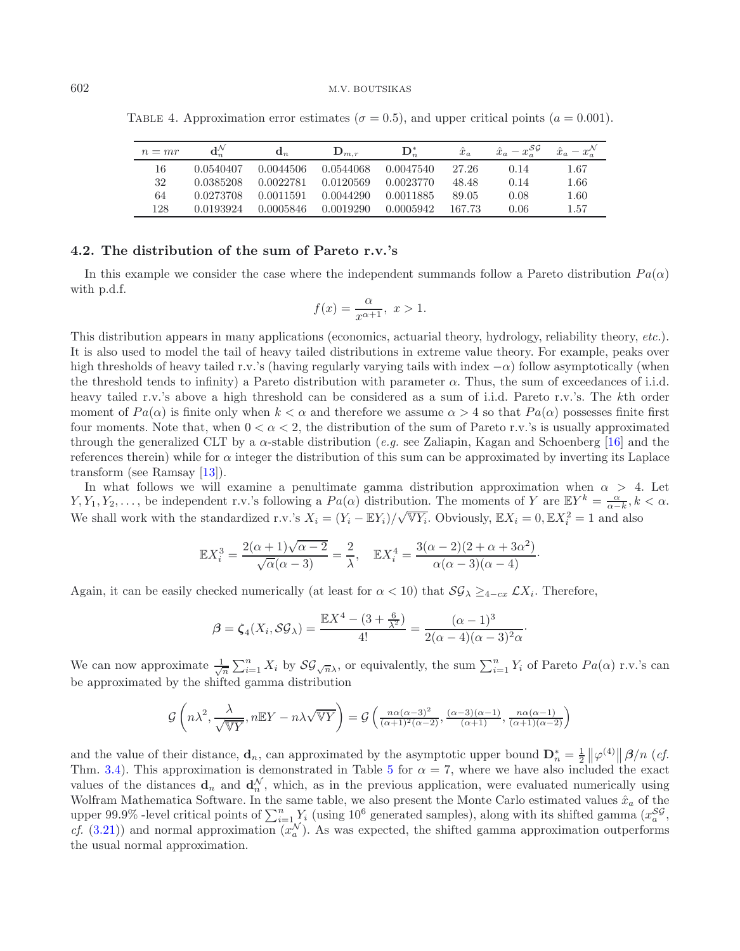| $n=mr$ |           | $\mathbf{a}_n$ | $\mathbf{D}_{m.r}$ | $\mathbf{D}_n^*$ | $\hat{x}_a$ | $x - x_{\alpha}^{\mathcal{SG}}$<br>$\hat{x}_a$ | $\hat{x}_a - x_a^{\mathcal{N}}$ |
|--------|-----------|----------------|--------------------|------------------|-------------|------------------------------------------------|---------------------------------|
| 16     | 0.0540407 | 0.0044506      | 0.0544068          | 0.0047540        | 27.26       | 0.14                                           | 1.67                            |
| 32     | 0.0385208 | 0.0022781      | 0.0120569          | 0.0023770        | 48.48       | 0.14                                           | 1.66                            |
| 64     | 0.0273708 | 0.0011591      | 0.0044290          | 0.0011885        | 89.05       | 0.08                                           | 1.60                            |
| 128    | 0.0193924 | 0.0005846      | 0.0019290          | 0.0005942        | 167.73      | 0.06                                           | 1.57                            |

<span id="page-12-0"></span>TABLE 4. Approximation error estimates ( $\sigma = 0.5$ ), and upper critical points ( $a = 0.001$ ).

## **4.2. The distribution of the sum of Pareto r.v.'s**

In this example we consider the case where the independent summands follow a Pareto distribution  $Pa(\alpha)$ with p.d.f.

$$
f(x) = \frac{\alpha}{x^{\alpha+1}}, \ x > 1.
$$

This distribution appears in many applications (economics, actuarial theory, hydrology, reliability theory, *etc.*). It is also used to model the tail of heavy tailed distributions in extreme value theory. For example, peaks over high thresholds of heavy tailed r.v.'s (having regularly varying tails with index  $-\alpha$ ) follow asymptotically (when the threshold tends to infinity) a Pareto distribution with parameter  $\alpha$ . Thus, the sum of exceedances of i.i.d. heavy tailed r.v.'s above a high threshold can be considered as a sum of i.i.d. Pareto r.v.'s. The kth order moment of  $Pa(\alpha)$  is finite only when  $k < \alpha$  and therefore we assume  $\alpha > 4$  so that  $Pa(\alpha)$  possesses finite first four moments. Note that, when  $0 < \alpha < 2$ , the distribution of the sum of Pareto r.v.'s is usually approximated through the generalized CLT by a  $\alpha$ -stable distribution (*e.g.* see Zaliapin, Kagan and Schoenberg [\[16](#page-14-16)] and the references therein) while for  $\alpha$  integer the distribution of this sum can be approximated by inverting its Laplace transform (see Ramsay [\[13](#page-14-17)]).

In what follows we will examine a penultimate gamma distribution approximation when  $\alpha > 4$ . Let  $Y, Y_1, Y_2, \ldots$ , be independent r.v.'s following a  $Pa(\alpha)$  distribution. The moments of Y are  $EY^k = \frac{\alpha}{\alpha - k}, k < \alpha$ . We shall work with the standardized r.v.'s  $X_i = (Y_i - \mathbb{E}Y_i)/\sqrt{\mathbb{V}Y_i}$ . Obviously,  $\mathbb{E}X_i = 0, \mathbb{E}X_i^2 = 1$  and also

$$
\mathbb{E}X_i^3 = \frac{2(\alpha+1)\sqrt{\alpha-2}}{\sqrt{\alpha}(\alpha-3)} = \frac{2}{\lambda}, \quad \mathbb{E}X_i^4 = \frac{3(\alpha-2)(2+\alpha+3\alpha^2)}{\alpha(\alpha-3)(\alpha-4)}.
$$

Again, it can be easily checked numerically (at least for  $\alpha < 10$ ) that  $\mathcal{SG}_{\lambda} \geq_{4-cx} \mathcal{L}X_i$ . Therefore,

$$
\beta = \zeta_4(X_i, \mathcal{SG}_{\lambda}) = \frac{\mathbb{E}X^4 - (3 + \frac{6}{\lambda^2})}{4!} = \frac{(\alpha - 1)^3}{2(\alpha - 4)(\alpha - 3)^2 \alpha}.
$$

We can now approximate  $\frac{1}{\sqrt{n}}\sum_{i=1}^n X_i$  by  $\mathcal{SG}_{\sqrt{n}\lambda}$ , or equivalently, the sum  $\sum_{i=1}^n Y_i$  of Pareto  $Pa(\alpha)$  r.v.'s can be approximated by the shifted gamma distribution

$$
\mathcal{G}\left(n\lambda^2, \frac{\lambda}{\sqrt{\mathbb{V}Y}}, n\mathbb{E}Y - n\lambda\sqrt{\mathbb{V}Y}\right) = \mathcal{G}\left(\frac{n\alpha(\alpha-3)^2}{(\alpha+1)^2(\alpha-2)}, \frac{(\alpha-3)(\alpha-1)}{(\alpha+1)}, \frac{n\alpha(\alpha-1)}{(\alpha+1)(\alpha-2)}\right)
$$

and the value of their distance, **d**<sub>n</sub>, can approximated by the asymptotic upper bound  $\mathbf{D}_n^* = \frac{1}{2} \left\| \varphi^{(4)} \right\| \beta/n$  (*cf.*) Thm. [3.4\)](#page-6-0). This approximation is demonstrated in Table [5](#page-13-0) for  $\alpha = 7$ , where we have also included the exact values of the distances  $d_n$  and  $d_n^N$ , which, as in the previous application, were evaluated numerically using Wolfram Mathematica Software. In the same table, we also present the Monte Carlo estimated values  $\hat{x}_a$  of the upper 99.9% -level critical points of  $\sum_{i=1}^{n} Y_i$  (using 10<sup>6</sup> generated samples), along with its shifted gamma  $(x_a^{SS},$ *cf.* [\(3.21\)](#page-9-0)) and normal approximation  $(x_a^N)$ . As was expected, the shifted gamma approximation outperforms the usual normal approximation.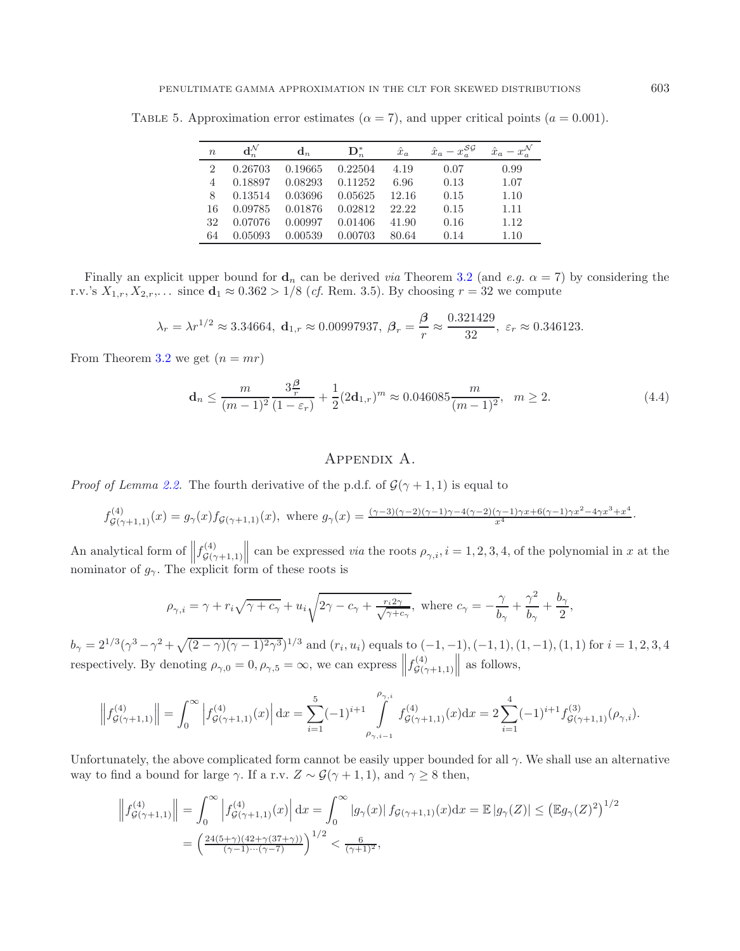$n$  **d**<sup>N</sup><sub>n</sub>  $\mathbf{d}_n$  **D**<sup>∗</sup><sub>n</sub>  $\hat{x}_a$   $\hat{x}_a - x_a^{\mathcal{SG}}$  $\hat{x}_a - x_a^N$ 2 0.26703 0.19665 0.22504 4.19 0.07 0.99 4 0.18897 0.08293 0.11252 6.96 0.13 1.07 8 0.13514 0.03696 0.05625 12.16 0.15 1.10 16 0.09785 0.01876 0.02812 22.22 0.15 1.11 32 0.07076 0.00997 0.01406 41.90 0.16 1.12

64 0.05093 0.00539 0.00703 80.64 0.14 1.10

<span id="page-13-0"></span>TABLE 5. Approximation error estimates ( $\alpha = 7$ ), and upper critical points ( $a = 0.001$ ).

Finally an explicit upper bound for  $\mathbf{d}_n$  can be derived *via* Theorem [3.2](#page-4-0) (and *e.g.*  $\alpha = 7$ ) by considering the r.v.'s  $X_{1,r}, X_{2,r}, \ldots$  since **d**<sub>1</sub> ≈ 0.362 > 1/8 (*cf.* Rem. 3.5). By choosing  $r = 32$  we compute

$$
\lambda_r = \lambda r^{1/2} \approx 3.34664, \ \mathbf{d}_{1,r} \approx 0.00997937, \ \beta_r = \frac{\beta}{r} \approx \frac{0.321429}{32}, \ \varepsilon_r \approx 0.346123.
$$

From Theorem [3.2](#page-4-0) we get  $(n = mr)$ 

$$
\mathbf{d}_n \le \frac{m}{(m-1)^2} \frac{3\frac{\beta}{r}}{(1-\varepsilon_r)} + \frac{1}{2} (2\mathbf{d}_{1,r})^m \approx 0.046085 \frac{m}{(m-1)^2}, \quad m \ge 2. \tag{4.4}
$$

### Appendix A.

*Proof of Lemma [2.2.](#page-3-1)* The fourth derivative of the p.d.f. of  $\mathcal{G}(\gamma + 1, 1)$  is equal to

$$
f_{\mathcal{G}(\gamma+1,1)}^{(4)}(x) = g_{\gamma}(x) f_{\mathcal{G}(\gamma+1,1)}(x), \text{ where } g_{\gamma}(x) = \frac{(\gamma-3)(\gamma-2)(\gamma-1)\gamma-4(\gamma-2)(\gamma-1)\gamma x+6(\gamma-1)\gamma x^2-4\gamma x^3+x^4}{x^4}.
$$

An analytical form of  $|| f_{\mathcal{G}(\gamma+1,1)}^{(4)}||$ An analytical form of  $||f_{\mathcal{G}(\gamma+1,1)}^{(4)}||$  can be expressed *via* the roots  $\rho_{\gamma,i}$ ,  $i = 1, 2, 3, 4$ , of the polynomial in x at the nominator of  $g_{\gamma}$ . The explicit form of these roots is

$$
\rho_{\gamma,i} = \gamma + r_i \sqrt{\gamma + c_{\gamma}} + u_i \sqrt{2\gamma - c_{\gamma} + \frac{r_i 2\gamma}{\sqrt{\gamma + c_{\gamma}}}}, \text{ where } c_{\gamma} = -\frac{\gamma}{b_{\gamma}} + \frac{\gamma^2}{b_{\gamma}} + \frac{b_{\gamma}}{2},
$$

 $b_{\gamma} = 2^{1/3}(\gamma^3 - \gamma^2 + \sqrt{(2 - \gamma)(\gamma - 1)^2 \gamma^3})^{1/3}$  and  $(r_i, u_i)$  equals to  $(-1, -1), (-1, 1), (1, -1), (1, 1)$  for  $i = 1, 2, 3, 4$ respectively. By denoting  $\rho_{\gamma,0} = 0, \rho_{\gamma,5} = \infty$ , we can express  $\left| \int_{\mathcal{G}(\gamma+1,1)}^{(4)}$ || as follows,

$$
\left\|f_{\mathcal{G}(\gamma+1,1)}^{(4)}\right\| = \int_0^\infty \left|f_{\mathcal{G}(\gamma+1,1)}^{(4)}(x)\right| \mathrm{d}x = \sum_{i=1}^5 (-1)^{i+1} \int_{\rho_{\gamma,i-1}}^{\rho_{\gamma,i}} f_{\mathcal{G}(\gamma+1,1)}^{(4)}(x) \mathrm{d}x = 2 \sum_{i=1}^4 (-1)^{i+1} f_{\mathcal{G}(\gamma+1,1)}^{(3)}(\rho_{\gamma,i}).
$$

Unfortunately, the above complicated form cannot be easily upper bounded for all  $\gamma$ . We shall use an alternative way to find a bound for large  $\gamma$ . If a r.v.  $Z \sim \mathcal{G}(\gamma + 1, 1)$ , and  $\gamma \geq 8$  then,

$$
\left\| f_{\mathcal{G}(\gamma+1,1)}^{(4)} \right\| = \int_0^\infty \left| f_{\mathcal{G}(\gamma+1,1)}^{(4)}(x) \right| dx = \int_0^\infty \left| g_\gamma(x) \right| f_{\mathcal{G}(\gamma+1,1)}(x) dx = \mathbb{E} \left| g_\gamma(Z) \right| \le \left( \mathbb{E} g_\gamma(Z)^2 \right)^{1/2}
$$

$$
= \left( \frac{24(5+\gamma)(42+\gamma(37+\gamma))}{(\gamma-1)\cdots(\gamma-7)} \right)^{1/2} < \frac{6}{(\gamma+1)^2},
$$